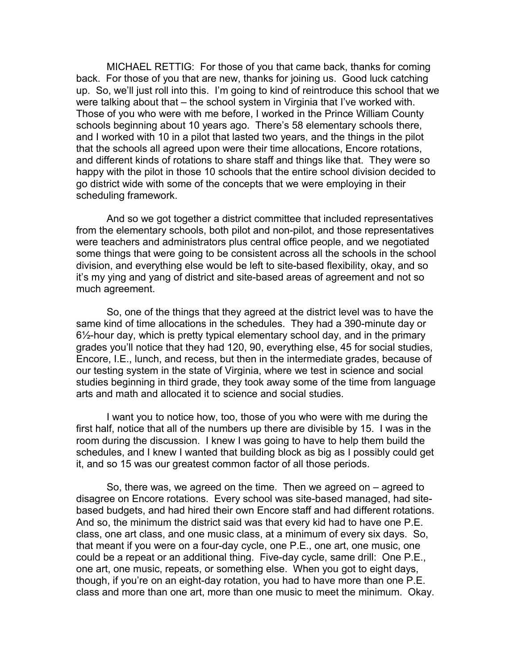MICHAEL RETTIG: For those of you that came back, thanks for coming back. For those of you that are new, thanks for joining us. Good luck catching up. So, we'll just roll into this. I'm going to kind of reintroduce this school that we were talking about that – the school system in Virginia that I've worked with. Those of you who were with me before, I worked in the Prince William County schools beginning about 10 years ago. There's 58 elementary schools there, and I worked with 10 in a pilot that lasted two years, and the things in the pilot that the schools all agreed upon were their time allocations, Encore rotations, and different kinds of rotations to share staff and things like that. They were so happy with the pilot in those 10 schools that the entire school division decided to go district wide with some of the concepts that we were employing in their scheduling framework.

And so we got together a district committee that included representatives from the elementary schools, both pilot and non-pilot, and those representatives were teachers and administrators plus central office people, and we negotiated some things that were going to be consistent across all the schools in the school division, and everything else would be left to site-based flexibility, okay, and so it's my ying and yang of district and site-based areas of agreement and not so much agreement.

So, one of the things that they agreed at the district level was to have the same kind of time allocations in the schedules. They had a 390-minute day or 6½-hour day, which is pretty typical elementary school day, and in the primary grades you'll notice that they had 120, 90, everything else, 45 for social studies, Encore, I.E., lunch, and recess, but then in the intermediate grades, because of our testing system in the state of Virginia, where we test in science and social studies beginning in third grade, they took away some of the time from language arts and math and allocated it to science and social studies.

I want you to notice how, too, those of you who were with me during the first half, notice that all of the numbers up there are divisible by 15. I was in the room during the discussion. I knew I was going to have to help them build the schedules, and I knew I wanted that building block as big as I possibly could get it, and so 15 was our greatest common factor of all those periods.

So, there was, we agreed on the time. Then we agreed on – agreed to disagree on Encore rotations. Every school was site-based managed, had sitebased budgets, and had hired their own Encore staff and had different rotations. And so, the minimum the district said was that every kid had to have one P.E. class, one art class, and one music class, at a minimum of every six days. So, that meant if you were on a four-day cycle, one P.E., one art, one music, one could be a repeat or an additional thing. Five-day cycle, same drill: One P.E., one art, one music, repeats, or something else. When you got to eight days, though, if you're on an eight-day rotation, you had to have more than one P.E. class and more than one art, more than one music to meet the minimum. Okay.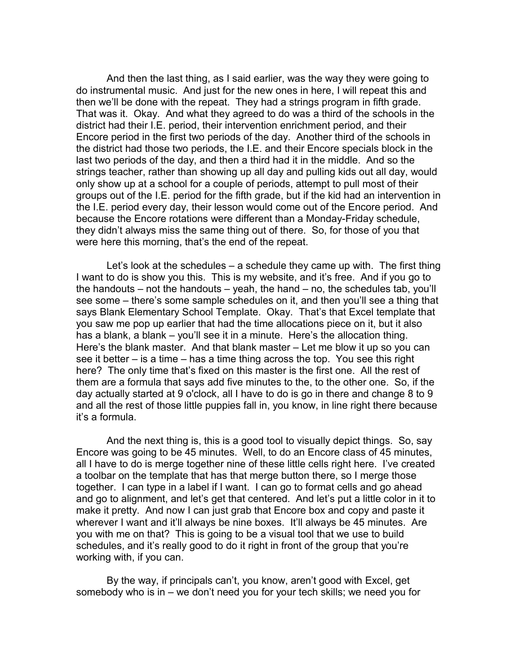And then the last thing, as I said earlier, was the way they were going to do instrumental music. And just for the new ones in here, I will repeat this and then we'll be done with the repeat. They had a strings program in fifth grade. That was it. Okay. And what they agreed to do was a third of the schools in the district had their I.E. period, their intervention enrichment period, and their Encore period in the first two periods of the day. Another third of the schools in the district had those two periods, the I.E. and their Encore specials block in the last two periods of the day, and then a third had it in the middle. And so the strings teacher, rather than showing up all day and pulling kids out all day, would only show up at a school for a couple of periods, attempt to pull most of their groups out of the I.E. period for the fifth grade, but if the kid had an intervention in the I.E. period every day, their lesson would come out of the Encore period. And because the Encore rotations were different than a Monday-Friday schedule, they didn't always miss the same thing out of there. So, for those of you that were here this morning, that's the end of the repeat.

Let's look at the schedules – a schedule they came up with. The first thing I want to do is show you this. This is my website, and it's free. And if you go to the handouts – not the handouts – yeah, the hand – no, the schedules tab, you'll see some – there's some sample schedules on it, and then you'll see a thing that says Blank Elementary School Template. Okay. That's that Excel template that you saw me pop up earlier that had the time allocations piece on it, but it also has a blank, a blank – you'll see it in a minute. Here's the allocation thing. Here's the blank master. And that blank master – Let me blow it up so you can see it better – is a time – has a time thing across the top. You see this right here? The only time that's fixed on this master is the first one. All the rest of them are a formula that says add five minutes to the, to the other one. So, if the day actually started at 9 o'clock, all I have to do is go in there and change 8 to 9 and all the rest of those little puppies fall in, you know, in line right there because it's a formula.

And the next thing is, this is a good tool to visually depict things. So, say Encore was going to be 45 minutes. Well, to do an Encore class of 45 minutes, all I have to do is merge together nine of these little cells right here. I've created a toolbar on the template that has that merge button there, so I merge those together. I can type in a label if I want. I can go to format cells and go ahead and go to alignment, and let's get that centered. And let's put a little color in it to make it pretty. And now I can just grab that Encore box and copy and paste it wherever I want and it'll always be nine boxes. It'll always be 45 minutes. Are you with me on that? This is going to be a visual tool that we use to build schedules, and it's really good to do it right in front of the group that you're working with, if you can.

By the way, if principals can't, you know, aren't good with Excel, get somebody who is in – we don't need you for your tech skills; we need you for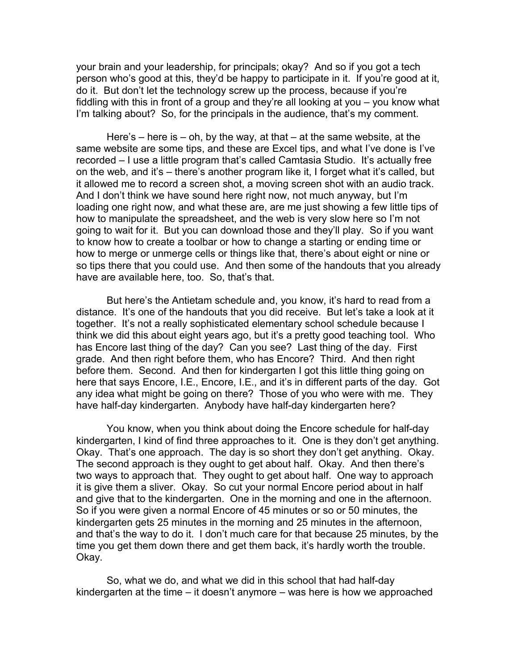your brain and your leadership, for principals; okay? And so if you got a tech person who's good at this, they'd be happy to participate in it. If you're good at it, do it. But don't let the technology screw up the process, because if you're fiddling with this in front of a group and they're all looking at you – you know what I'm talking about? So, for the principals in the audience, that's my comment.

Here's – here is – oh, by the way, at that – at the same website, at the same website are some tips, and these are Excel tips, and what I've done is I've recorded – I use a little program that's called Camtasia Studio. It's actually free on the web, and it's – there's another program like it, I forget what it's called, but it allowed me to record a screen shot, a moving screen shot with an audio track. And I don't think we have sound here right now, not much anyway, but I'm loading one right now, and what these are, are me just showing a few little tips of how to manipulate the spreadsheet, and the web is very slow here so I'm not going to wait for it. But you can download those and they'll play. So if you want to know how to create a toolbar or how to change a starting or ending time or how to merge or unmerge cells or things like that, there's about eight or nine or so tips there that you could use. And then some of the handouts that you already have are available here, too. So, that's that.

But here's the Antietam schedule and, you know, it's hard to read from a distance. It's one of the handouts that you did receive. But let's take a look at it together. It's not a really sophisticated elementary school schedule because I think we did this about eight years ago, but it's a pretty good teaching tool. Who has Encore last thing of the day? Can you see? Last thing of the day. First grade. And then right before them, who has Encore? Third. And then right before them. Second. And then for kindergarten I got this little thing going on here that says Encore, I.E., Encore, I.E., and it's in different parts of the day. Got any idea what might be going on there? Those of you who were with me. They have half-day kindergarten. Anybody have half-day kindergarten here?

You know, when you think about doing the Encore schedule for half-day kindergarten, I kind of find three approaches to it. One is they don't get anything. Okay. That's one approach. The day is so short they don't get anything. Okay. The second approach is they ought to get about half. Okay. And then there's two ways to approach that. They ought to get about half. One way to approach it is give them a sliver. Okay. So cut your normal Encore period about in half and give that to the kindergarten. One in the morning and one in the afternoon. So if you were given a normal Encore of 45 minutes or so or 50 minutes, the kindergarten gets 25 minutes in the morning and 25 minutes in the afternoon, and that's the way to do it. I don't much care for that because 25 minutes, by the time you get them down there and get them back, it's hardly worth the trouble. Okay.

So, what we do, and what we did in this school that had half-day kindergarten at the time – it doesn't anymore – was here is how we approached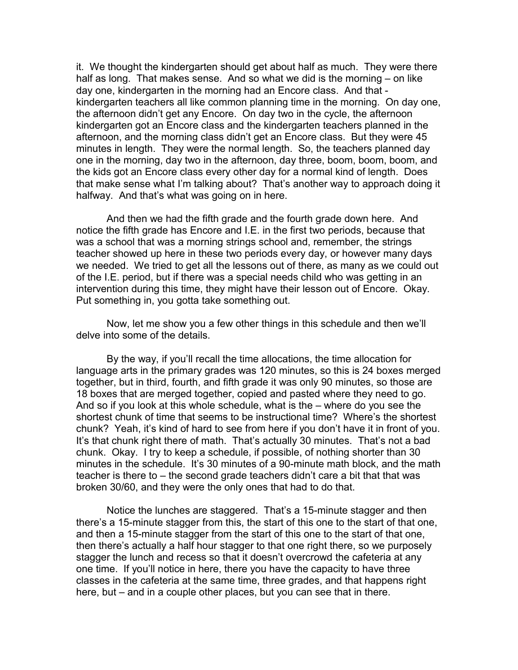it. We thought the kindergarten should get about half as much. They were there half as long. That makes sense. And so what we did is the morning – on like day one, kindergarten in the morning had an Encore class. And that kindergarten teachers all like common planning time in the morning. On day one, the afternoon didn't get any Encore. On day two in the cycle, the afternoon kindergarten got an Encore class and the kindergarten teachers planned in the afternoon, and the morning class didn't get an Encore class. But they were 45 minutes in length. They were the normal length. So, the teachers planned day one in the morning, day two in the afternoon, day three, boom, boom, boom, and the kids got an Encore class every other day for a normal kind of length. Does that make sense what I'm talking about? That's another way to approach doing it halfway. And that's what was going on in here.

And then we had the fifth grade and the fourth grade down here. And notice the fifth grade has Encore and I.E. in the first two periods, because that was a school that was a morning strings school and, remember, the strings teacher showed up here in these two periods every day, or however many days we needed. We tried to get all the lessons out of there, as many as we could out of the I.E. period, but if there was a special needs child who was getting in an intervention during this time, they might have their lesson out of Encore. Okay. Put something in, you gotta take something out.

Now, let me show you a few other things in this schedule and then we'll delve into some of the details.

By the way, if you'll recall the time allocations, the time allocation for language arts in the primary grades was 120 minutes, so this is 24 boxes merged together, but in third, fourth, and fifth grade it was only 90 minutes, so those are 18 boxes that are merged together, copied and pasted where they need to go. And so if you look at this whole schedule, what is the – where do you see the shortest chunk of time that seems to be instructional time? Where's the shortest chunk? Yeah, it's kind of hard to see from here if you don't have it in front of you. It's that chunk right there of math. That's actually 30 minutes. That's not a bad chunk. Okay. I try to keep a schedule, if possible, of nothing shorter than 30 minutes in the schedule. It's 30 minutes of a 90-minute math block, and the math teacher is there to – the second grade teachers didn't care a bit that that was broken 30/60, and they were the only ones that had to do that.

Notice the lunches are staggered. That's a 15-minute stagger and then there's a 15-minute stagger from this, the start of this one to the start of that one, and then a 15-minute stagger from the start of this one to the start of that one, then there's actually a half hour stagger to that one right there, so we purposely stagger the lunch and recess so that it doesn't overcrowd the cafeteria at any one time. If you'll notice in here, there you have the capacity to have three classes in the cafeteria at the same time, three grades, and that happens right here, but – and in a couple other places, but you can see that in there.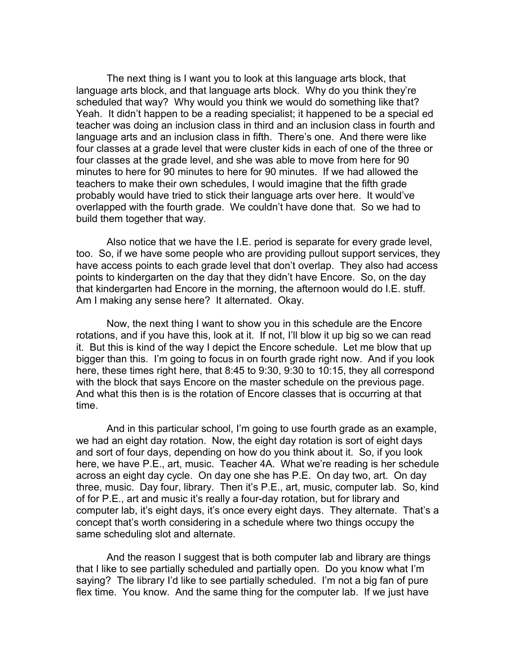The next thing is I want you to look at this language arts block, that language arts block, and that language arts block. Why do you think they're scheduled that way? Why would you think we would do something like that? Yeah. It didn't happen to be a reading specialist; it happened to be a special ed teacher was doing an inclusion class in third and an inclusion class in fourth and language arts and an inclusion class in fifth. There's one. And there were like four classes at a grade level that were cluster kids in each of one of the three or four classes at the grade level, and she was able to move from here for 90 minutes to here for 90 minutes to here for 90 minutes. If we had allowed the teachers to make their own schedules, I would imagine that the fifth grade probably would have tried to stick their language arts over here. It would've overlapped with the fourth grade. We couldn't have done that. So we had to build them together that way.

Also notice that we have the I.E. period is separate for every grade level, too. So, if we have some people who are providing pullout support services, they have access points to each grade level that don't overlap. They also had access points to kindergarten on the day that they didn't have Encore. So, on the day that kindergarten had Encore in the morning, the afternoon would do I.E. stuff. Am I making any sense here? It alternated. Okay.

Now, the next thing I want to show you in this schedule are the Encore rotations, and if you have this, look at it. If not, I'll blow it up big so we can read it. But this is kind of the way I depict the Encore schedule. Let me blow that up bigger than this. I'm going to focus in on fourth grade right now. And if you look here, these times right here, that 8:45 to 9:30, 9:30 to 10:15, they all correspond with the block that says Encore on the master schedule on the previous page. And what this then is is the rotation of Encore classes that is occurring at that time.

And in this particular school, I'm going to use fourth grade as an example, we had an eight day rotation. Now, the eight day rotation is sort of eight days and sort of four days, depending on how do you think about it. So, if you look here, we have P.E., art, music. Teacher 4A. What we're reading is her schedule across an eight day cycle. On day one she has P.E. On day two, art. On day three, music. Day four, library. Then it's P.E., art, music, computer lab. So, kind of for P.E., art and music it's really a four-day rotation, but for library and computer lab, it's eight days, it's once every eight days. They alternate. That's a concept that's worth considering in a schedule where two things occupy the same scheduling slot and alternate.

And the reason I suggest that is both computer lab and library are things that I like to see partially scheduled and partially open. Do you know what I'm saying? The library I'd like to see partially scheduled. I'm not a big fan of pure flex time. You know. And the same thing for the computer lab. If we just have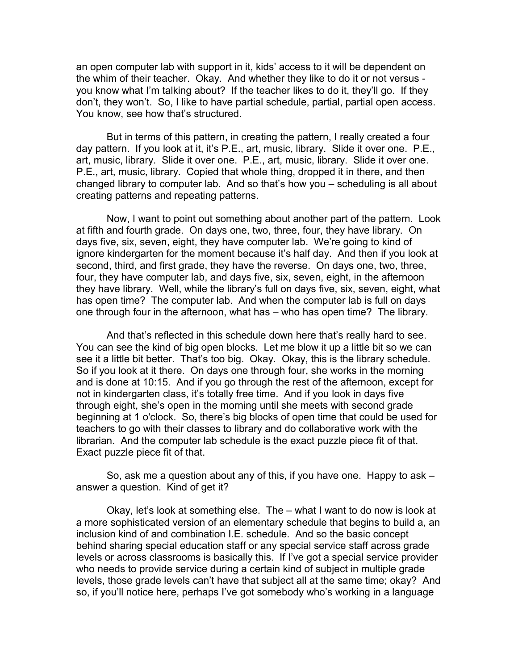an open computer lab with support in it, kids' access to it will be dependent on the whim of their teacher. Okay. And whether they like to do it or not versus you know what I'm talking about? If the teacher likes to do it, they'll go. If they don't, they won't. So, I like to have partial schedule, partial, partial open access. You know, see how that's structured.

But in terms of this pattern, in creating the pattern, I really created a four day pattern. If you look at it, it's P.E., art, music, library. Slide it over one. P.E., art, music, library. Slide it over one. P.E., art, music, library. Slide it over one. P.E., art, music, library. Copied that whole thing, dropped it in there, and then changed library to computer lab. And so that's how you – scheduling is all about creating patterns and repeating patterns.

Now, I want to point out something about another part of the pattern. Look at fifth and fourth grade. On days one, two, three, four, they have library. On days five, six, seven, eight, they have computer lab. We're going to kind of ignore kindergarten for the moment because it's half day. And then if you look at second, third, and first grade, they have the reverse. On days one, two, three, four, they have computer lab, and days five, six, seven, eight, in the afternoon they have library. Well, while the library's full on days five, six, seven, eight, what has open time? The computer lab. And when the computer lab is full on days one through four in the afternoon, what has – who has open time? The library.

And that's reflected in this schedule down here that's really hard to see. You can see the kind of big open blocks. Let me blow it up a little bit so we can see it a little bit better. That's too big. Okay. Okay, this is the library schedule. So if you look at it there. On days one through four, she works in the morning and is done at 10:15. And if you go through the rest of the afternoon, except for not in kindergarten class, it's totally free time. And if you look in days five through eight, she's open in the morning until she meets with second grade beginning at 1 o'clock. So, there's big blocks of open time that could be used for teachers to go with their classes to library and do collaborative work with the librarian. And the computer lab schedule is the exact puzzle piece fit of that. Exact puzzle piece fit of that.

So, ask me a question about any of this, if you have one. Happy to ask – answer a question. Kind of get it?

Okay, let's look at something else. The – what I want to do now is look at a more sophisticated version of an elementary schedule that begins to build a, an inclusion kind of and combination I.E. schedule. And so the basic concept behind sharing special education staff or any special service staff across grade levels or across classrooms is basically this. If I've got a special service provider who needs to provide service during a certain kind of subject in multiple grade levels, those grade levels can't have that subject all at the same time; okay? And so, if you'll notice here, perhaps I've got somebody who's working in a language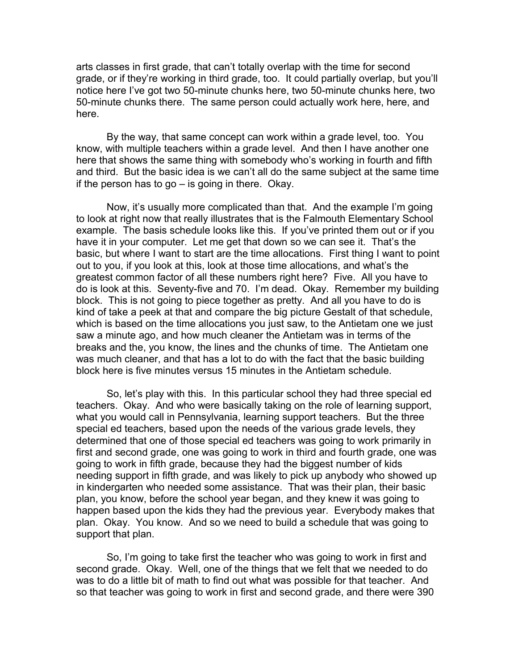arts classes in first grade, that can't totally overlap with the time for second grade, or if they're working in third grade, too. It could partially overlap, but you'll notice here I've got two 50-minute chunks here, two 50-minute chunks here, two 50-minute chunks there. The same person could actually work here, here, and here.

By the way, that same concept can work within a grade level, too. You know, with multiple teachers within a grade level. And then I have another one here that shows the same thing with somebody who's working in fourth and fifth and third. But the basic idea is we can't all do the same subject at the same time if the person has to go – is going in there. Okay.

Now, it's usually more complicated than that. And the example I'm going to look at right now that really illustrates that is the Falmouth Elementary School example. The basis schedule looks like this. If you've printed them out or if you have it in your computer. Let me get that down so we can see it. That's the basic, but where I want to start are the time allocations. First thing I want to point out to you, if you look at this, look at those time allocations, and what's the greatest common factor of all these numbers right here? Five. All you have to do is look at this. Seventy-five and 70. I'm dead. Okay. Remember my building block. This is not going to piece together as pretty. And all you have to do is kind of take a peek at that and compare the big picture Gestalt of that schedule, which is based on the time allocations you just saw, to the Antietam one we just saw a minute ago, and how much cleaner the Antietam was in terms of the breaks and the, you know, the lines and the chunks of time. The Antietam one was much cleaner, and that has a lot to do with the fact that the basic building block here is five minutes versus 15 minutes in the Antietam schedule.

So, let's play with this. In this particular school they had three special ed teachers. Okay. And who were basically taking on the role of learning support, what you would call in Pennsylvania, learning support teachers. But the three special ed teachers, based upon the needs of the various grade levels, they determined that one of those special ed teachers was going to work primarily in first and second grade, one was going to work in third and fourth grade, one was going to work in fifth grade, because they had the biggest number of kids needing support in fifth grade, and was likely to pick up anybody who showed up in kindergarten who needed some assistance. That was their plan, their basic plan, you know, before the school year began, and they knew it was going to happen based upon the kids they had the previous year. Everybody makes that plan. Okay. You know. And so we need to build a schedule that was going to support that plan.

So, I'm going to take first the teacher who was going to work in first and second grade. Okay. Well, one of the things that we felt that we needed to do was to do a little bit of math to find out what was possible for that teacher. And so that teacher was going to work in first and second grade, and there were 390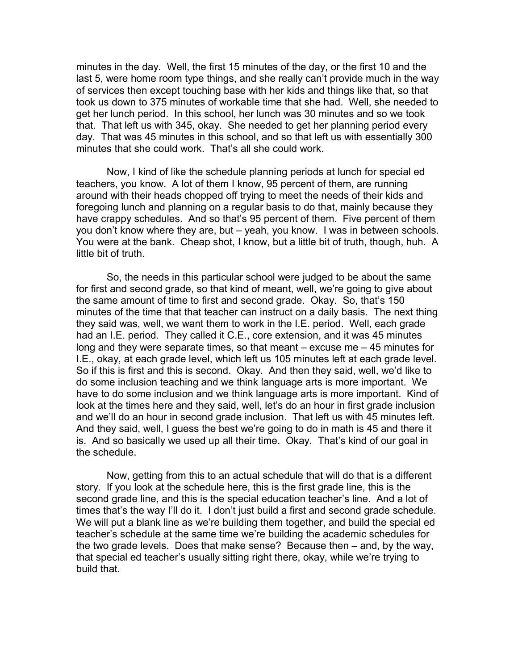minutes in the day. Well, the first 15 minutes of the day, or the first 10 and the last 5, were home room type things, and she really can't provide much in the way of services then except touching base with her kids and things like that, so that took us down to 375 minutes of workable time that she had. Well, she needed to get her lunch period. In this school, her lunch was 30 minutes and so we took that. That left us with 345, okay. She needed to get her planning period every day. That was 45 minutes in this school, and so that left us with essentially 300 minutes that she could work. That's all she could work.

Now, I kind of like the schedule planning periods at lunch for special ed teachers, you know. A lot of them I know, 95 percent of them, are running around with their heads chopped off trying to meet the needs of their kids and foregoing lunch and planning on a regular basis to do that, mainly because they have crappy schedules. And so that's 95 percent of them. Five percent of them you don't know where they are, but – yeah, you know. I was in between schools. You were at the bank. Cheap shot, I know, but a little bit of truth, though, huh. A little bit of truth.

So, the needs in this particular school were judged to be about the same for first and second grade, so that kind of meant, well, we're going to give about the same amount of time to first and second grade. Okay. So, that's 150 minutes of the time that that teacher can instruct on a daily basis. The next thing they said was, well, we want them to work in the I.E. period. Well, each grade had an I.E. period. They called it C.E., core extension, and it was 45 minutes long and they were separate times, so that meant – excuse me – 45 minutes for I.E., okay, at each grade level, which left us 105 minutes left at each grade level. So if this is first and this is second. Okay. And then they said, well, we'd like to do some inclusion teaching and we think language arts is more important. We have to do some inclusion and we think language arts is more important. Kind of look at the times here and they said, well, let's do an hour in first grade inclusion and we'll do an hour in second grade inclusion. That left us with 45 minutes left. And they said, well, I guess the best we're going to do in math is 45 and there it is. And so basically we used up all their time. Okay. That's kind of our goal in the schedule.

Now, getting from this to an actual schedule that will do that is a different story. If you look at the schedule here, this is the first grade line, this is the second grade line, and this is the special education teacher's line. And a lot of times that's the way I'll do it. I don't just build a first and second grade schedule. We will put a blank line as we're building them together, and build the special ed teacher's schedule at the same time we're building the academic schedules for the two grade levels. Does that make sense? Because then – and, by the way, that special ed teacher's usually sitting right there, okay, while we're trying to build that.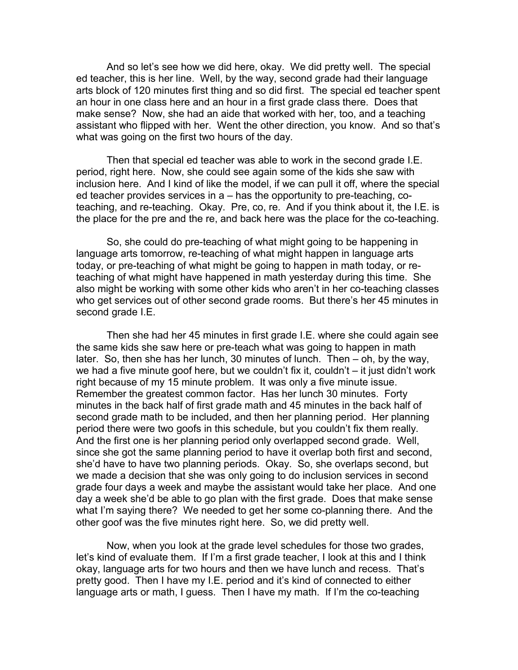And so let's see how we did here, okay. We did pretty well. The special ed teacher, this is her line. Well, by the way, second grade had their language arts block of 120 minutes first thing and so did first. The special ed teacher spent an hour in one class here and an hour in a first grade class there. Does that make sense? Now, she had an aide that worked with her, too, and a teaching assistant who flipped with her. Went the other direction, you know. And so that's what was going on the first two hours of the day.

Then that special ed teacher was able to work in the second grade I.E. period, right here. Now, she could see again some of the kids she saw with inclusion here. And I kind of like the model, if we can pull it off, where the special ed teacher provides services in a – has the opportunity to pre-teaching, coteaching, and re-teaching. Okay. Pre, co, re. And if you think about it, the I.E. is the place for the pre and the re, and back here was the place for the co-teaching.

So, she could do pre-teaching of what might going to be happening in language arts tomorrow, re-teaching of what might happen in language arts today, or pre-teaching of what might be going to happen in math today, or reteaching of what might have happened in math yesterday during this time. She also might be working with some other kids who aren't in her co-teaching classes who get services out of other second grade rooms. But there's her 45 minutes in second grade I.E.

Then she had her 45 minutes in first grade I.E. where she could again see the same kids she saw here or pre-teach what was going to happen in math later. So, then she has her lunch, 30 minutes of lunch. Then – oh, by the way, we had a five minute goof here, but we couldn't fix it, couldn't – it just didn't work right because of my 15 minute problem. It was only a five minute issue. Remember the greatest common factor. Has her lunch 30 minutes. Forty minutes in the back half of first grade math and 45 minutes in the back half of second grade math to be included, and then her planning period. Her planning period there were two goofs in this schedule, but you couldn't fix them really. And the first one is her planning period only overlapped second grade. Well, since she got the same planning period to have it overlap both first and second, she'd have to have two planning periods. Okay. So, she overlaps second, but we made a decision that she was only going to do inclusion services in second grade four days a week and maybe the assistant would take her place. And one day a week she'd be able to go plan with the first grade. Does that make sense what I'm saying there? We needed to get her some co-planning there. And the other goof was the five minutes right here. So, we did pretty well.

Now, when you look at the grade level schedules for those two grades, let's kind of evaluate them. If I'm a first grade teacher, I look at this and I think okay, language arts for two hours and then we have lunch and recess. That's pretty good. Then I have my I.E. period and it's kind of connected to either language arts or math, I guess. Then I have my math. If I'm the co-teaching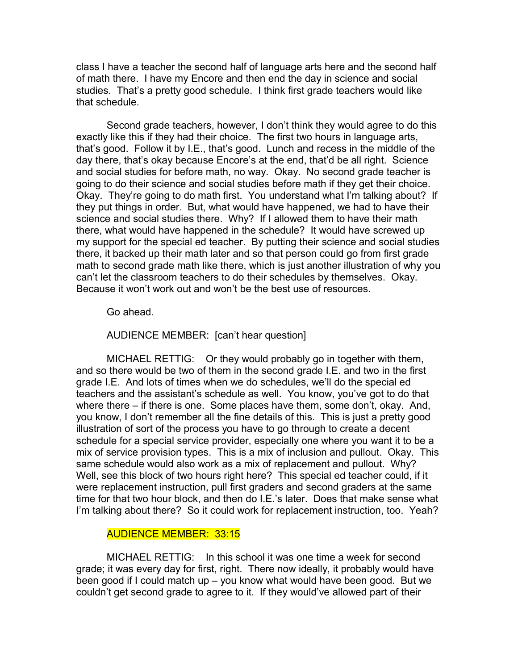class I have a teacher the second half of language arts here and the second half of math there. I have my Encore and then end the day in science and social studies. That's a pretty good schedule. I think first grade teachers would like that schedule.

Second grade teachers, however, I don't think they would agree to do this exactly like this if they had their choice. The first two hours in language arts, that's good. Follow it by I.E., that's good. Lunch and recess in the middle of the day there, that's okay because Encore's at the end, that'd be all right. Science and social studies for before math, no way. Okay. No second grade teacher is going to do their science and social studies before math if they get their choice. Okay. They're going to do math first. You understand what I'm talking about? If they put things in order. But, what would have happened, we had to have their science and social studies there. Why? If I allowed them to have their math there, what would have happened in the schedule? It would have screwed up my support for the special ed teacher. By putting their science and social studies there, it backed up their math later and so that person could go from first grade math to second grade math like there, which is just another illustration of why you can't let the classroom teachers to do their schedules by themselves. Okay. Because it won't work out and won't be the best use of resources.

Go ahead.

AUDIENCE MEMBER: [can't hear question]

MICHAEL RETTIG: Or they would probably go in together with them, and so there would be two of them in the second grade I.E. and two in the first grade I.E. And lots of times when we do schedules, we'll do the special ed teachers and the assistant's schedule as well. You know, you've got to do that where there – if there is one. Some places have them, some don't, okay. And, you know, I don't remember all the fine details of this. This is just a pretty good illustration of sort of the process you have to go through to create a decent schedule for a special service provider, especially one where you want it to be a mix of service provision types. This is a mix of inclusion and pullout. Okay. This same schedule would also work as a mix of replacement and pullout. Why? Well, see this block of two hours right here? This special ed teacher could, if it were replacement instruction, pull first graders and second graders at the same time for that two hour block, and then do I.E.'s later. Does that make sense what I'm talking about there? So it could work for replacement instruction, too. Yeah?

# AUDIENCE MEMBER: 33:15

MICHAEL RETTIG: In this school it was one time a week for second grade; it was every day for first, right. There now ideally, it probably would have been good if I could match up – you know what would have been good. But we couldn't get second grade to agree to it. If they would've allowed part of their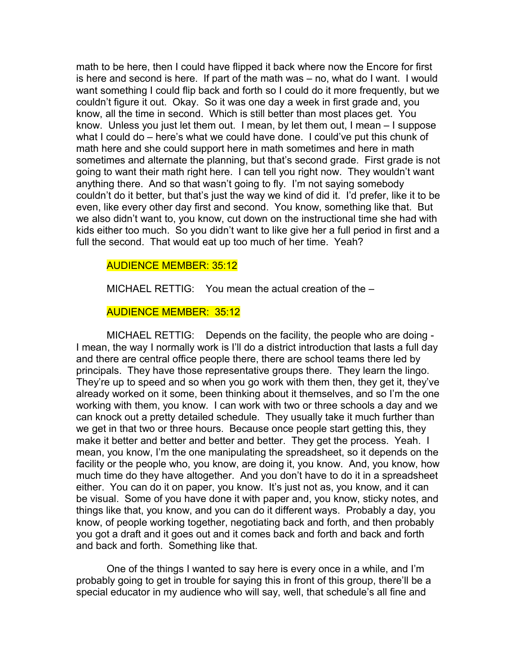math to be here, then I could have flipped it back where now the Encore for first is here and second is here. If part of the math was – no, what do I want. I would want something I could flip back and forth so I could do it more frequently, but we couldn't figure it out. Okay. So it was one day a week in first grade and, you know, all the time in second. Which is still better than most places get. You know. Unless you just let them out. I mean, by let them out, I mean – I suppose what I could do – here's what we could have done. I could've put this chunk of math here and she could support here in math sometimes and here in math sometimes and alternate the planning, but that's second grade. First grade is not going to want their math right here. I can tell you right now. They wouldn't want anything there. And so that wasn't going to fly. I'm not saying somebody couldn't do it better, but that's just the way we kind of did it. I'd prefer, like it to be even, like every other day first and second. You know, something like that. But we also didn't want to, you know, cut down on the instructional time she had with kids either too much. So you didn't want to like give her a full period in first and a full the second. That would eat up too much of her time. Yeah?

## AUDIENCE MEMBER: 35:12

MICHAEL RETTIG: You mean the actual creation of the –

## AUDIENCE MEMBER: 35:12

MICHAEL RETTIG: Depends on the facility, the people who are doing - I mean, the way I normally work is I'll do a district introduction that lasts a full day and there are central office people there, there are school teams there led by principals. They have those representative groups there. They learn the lingo. They're up to speed and so when you go work with them then, they get it, they've already worked on it some, been thinking about it themselves, and so I'm the one working with them, you know. I can work with two or three schools a day and we can knock out a pretty detailed schedule. They usually take it much further than we get in that two or three hours. Because once people start getting this, they make it better and better and better and better. They get the process. Yeah. I mean, you know, I'm the one manipulating the spreadsheet, so it depends on the facility or the people who, you know, are doing it, you know. And, you know, how much time do they have altogether. And you don't have to do it in a spreadsheet either. You can do it on paper, you know. It's just not as, you know, and it can be visual. Some of you have done it with paper and, you know, sticky notes, and things like that, you know, and you can do it different ways. Probably a day, you know, of people working together, negotiating back and forth, and then probably you got a draft and it goes out and it comes back and forth and back and forth and back and forth. Something like that.

One of the things I wanted to say here is every once in a while, and I'm probably going to get in trouble for saying this in front of this group, there'll be a special educator in my audience who will say, well, that schedule's all fine and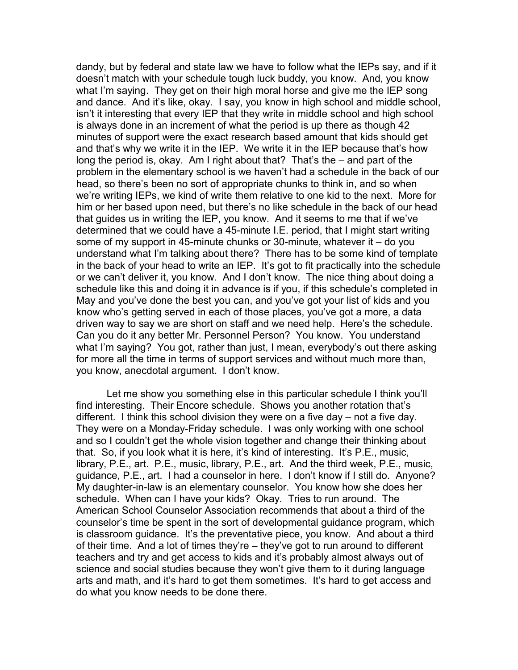dandy, but by federal and state law we have to follow what the IEPs say, and if it doesn't match with your schedule tough luck buddy, you know. And, you know what I'm saying. They get on their high moral horse and give me the IEP song and dance. And it's like, okay. I say, you know in high school and middle school, isn't it interesting that every IEP that they write in middle school and high school is always done in an increment of what the period is up there as though 42 minutes of support were the exact research based amount that kids should get and that's why we write it in the IEP. We write it in the IEP because that's how long the period is, okay. Am I right about that? That's the – and part of the problem in the elementary school is we haven't had a schedule in the back of our head, so there's been no sort of appropriate chunks to think in, and so when we're writing IEPs, we kind of write them relative to one kid to the next. More for him or her based upon need, but there's no like schedule in the back of our head that guides us in writing the IEP, you know. And it seems to me that if we've determined that we could have a 45-minute I.E. period, that I might start writing some of my support in 45-minute chunks or 30-minute, whatever it – do you understand what I'm talking about there? There has to be some kind of template in the back of your head to write an IEP. It's got to fit practically into the schedule or we can't deliver it, you know. And I don't know. The nice thing about doing a schedule like this and doing it in advance is if you, if this schedule's completed in May and you've done the best you can, and you've got your list of kids and you know who's getting served in each of those places, you've got a more, a data driven way to say we are short on staff and we need help. Here's the schedule. Can you do it any better Mr. Personnel Person? You know. You understand what I'm saying? You got, rather than just, I mean, everybody's out there asking for more all the time in terms of support services and without much more than, you know, anecdotal argument. I don't know.

Let me show you something else in this particular schedule I think you'll find interesting. Their Encore schedule. Shows you another rotation that's different. I think this school division they were on a five day – not a five day. They were on a Monday-Friday schedule. I was only working with one school and so I couldn't get the whole vision together and change their thinking about that. So, if you look what it is here, it's kind of interesting. It's P.E., music, library, P.E., art. P.E., music, library, P.E., art. And the third week, P.E., music, guidance, P.E., art. I had a counselor in here. I don't know if I still do. Anyone? My daughter-in-law is an elementary counselor. You know how she does her schedule. When can I have your kids? Okay. Tries to run around. The American School Counselor Association recommends that about a third of the counselor's time be spent in the sort of developmental guidance program, which is classroom guidance. It's the preventative piece, you know. And about a third of their time. And a lot of times they're – they've got to run around to different teachers and try and get access to kids and it's probably almost always out of science and social studies because they won't give them to it during language arts and math, and it's hard to get them sometimes. It's hard to get access and do what you know needs to be done there.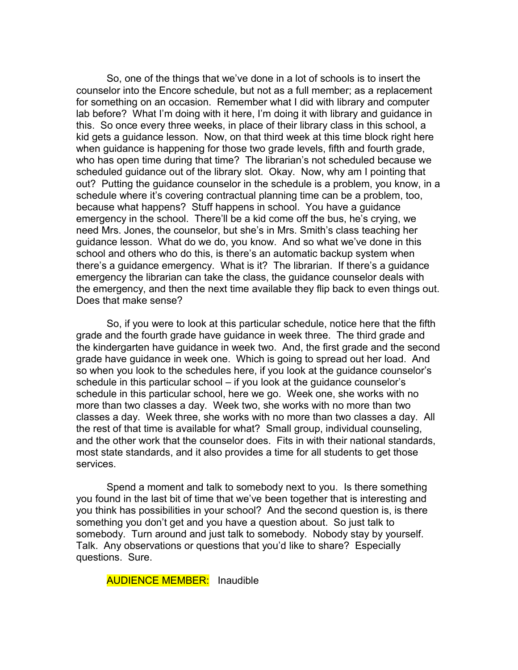So, one of the things that we've done in a lot of schools is to insert the counselor into the Encore schedule, but not as a full member; as a replacement for something on an occasion. Remember what I did with library and computer lab before? What I'm doing with it here, I'm doing it with library and guidance in this. So once every three weeks, in place of their library class in this school, a kid gets a guidance lesson. Now, on that third week at this time block right here when guidance is happening for those two grade levels, fifth and fourth grade, who has open time during that time? The librarian's not scheduled because we scheduled guidance out of the library slot. Okay. Now, why am I pointing that out? Putting the guidance counselor in the schedule is a problem, you know, in a schedule where it's covering contractual planning time can be a problem, too, because what happens? Stuff happens in school. You have a guidance emergency in the school. There'll be a kid come off the bus, he's crying, we need Mrs. Jones, the counselor, but she's in Mrs. Smith's class teaching her guidance lesson. What do we do, you know. And so what we've done in this school and others who do this, is there's an automatic backup system when there's a guidance emergency. What is it? The librarian. If there's a guidance emergency the librarian can take the class, the guidance counselor deals with the emergency, and then the next time available they flip back to even things out. Does that make sense?

So, if you were to look at this particular schedule, notice here that the fifth grade and the fourth grade have guidance in week three. The third grade and the kindergarten have guidance in week two. And, the first grade and the second grade have guidance in week one. Which is going to spread out her load. And so when you look to the schedules here, if you look at the guidance counselor's schedule in this particular school – if you look at the guidance counselor's schedule in this particular school, here we go. Week one, she works with no more than two classes a day. Week two, she works with no more than two classes a day. Week three, she works with no more than two classes a day. All the rest of that time is available for what? Small group, individual counseling, and the other work that the counselor does. Fits in with their national standards, most state standards, and it also provides a time for all students to get those services.

Spend a moment and talk to somebody next to you. Is there something you found in the last bit of time that we've been together that is interesting and you think has possibilities in your school? And the second question is, is there something you don't get and you have a question about. So just talk to somebody. Turn around and just talk to somebody. Nobody stay by yourself. Talk. Any observations or questions that you'd like to share? Especially questions. Sure.

**AUDIENCE MEMBER:** Inaudible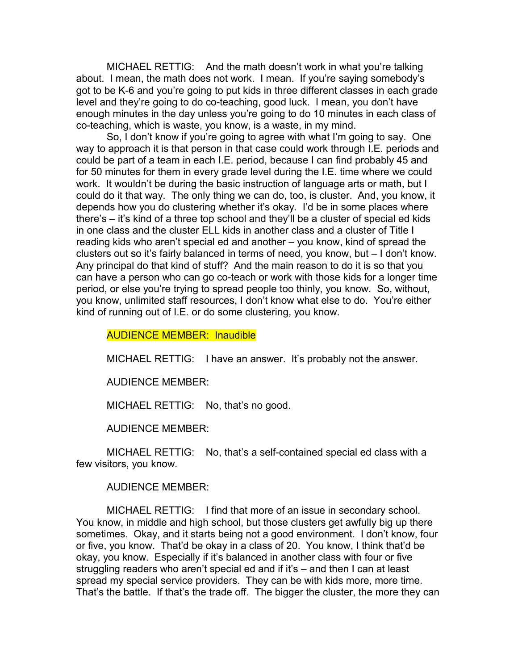MICHAEL RETTIG: And the math doesn't work in what you're talking about. I mean, the math does not work. I mean. If you're saying somebody's got to be K-6 and you're going to put kids in three different classes in each grade level and they're going to do co-teaching, good luck. I mean, you don't have enough minutes in the day unless you're going to do 10 minutes in each class of co-teaching, which is waste, you know, is a waste, in my mind.

So, I don't know if you're going to agree with what I'm going to say. One way to approach it is that person in that case could work through I.E. periods and could be part of a team in each I.E. period, because I can find probably 45 and for 50 minutes for them in every grade level during the I.E. time where we could work. It wouldn't be during the basic instruction of language arts or math, but I could do it that way. The only thing we can do, too, is cluster. And, you know, it depends how you do clustering whether it's okay. I'd be in some places where there's – it's kind of a three top school and they'll be a cluster of special ed kids in one class and the cluster ELL kids in another class and a cluster of Title I reading kids who aren't special ed and another – you know, kind of spread the clusters out so it's fairly balanced in terms of need, you know, but – I don't know. Any principal do that kind of stuff? And the main reason to do it is so that you can have a person who can go co-teach or work with those kids for a longer time period, or else you're trying to spread people too thinly, you know. So, without, you know, unlimited staff resources, I don't know what else to do. You're either kind of running out of I.E. or do some clustering, you know.

#### AUDIENCE MEMBER: Inaudible

MICHAEL RETTIG: I have an answer. It's probably not the answer.

AUDIENCE MEMBER:

MICHAEL RETTIG: No, that's no good.

AUDIENCE MEMBER:

MICHAEL RETTIG: No, that's a self-contained special ed class with a few visitors, you know.

AUDIENCE MEMBER:

MICHAEL RETTIG: I find that more of an issue in secondary school. You know, in middle and high school, but those clusters get awfully big up there sometimes. Okay, and it starts being not a good environment. I don't know, four or five, you know. That'd be okay in a class of 20. You know, I think that'd be okay, you know. Especially if it's balanced in another class with four or five struggling readers who aren't special ed and if it's – and then I can at least spread my special service providers. They can be with kids more, more time. That's the battle. If that's the trade off. The bigger the cluster, the more they can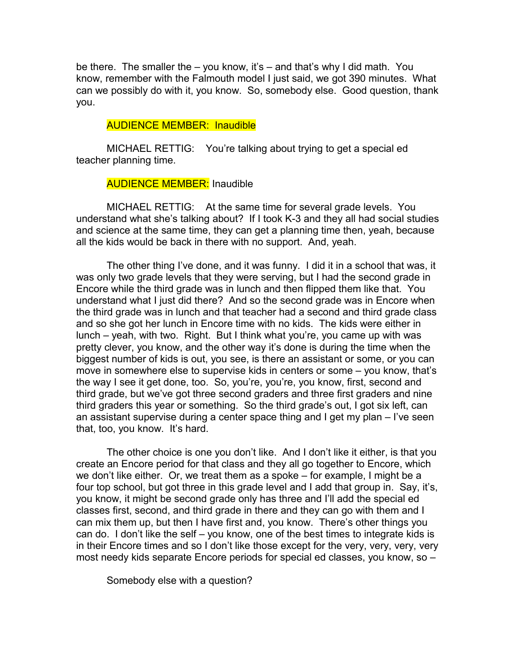be there. The smaller the – you know, it's – and that's why I did math. You know, remember with the Falmouth model I just said, we got 390 minutes. What can we possibly do with it, you know. So, somebody else. Good question, thank you.

## AUDIENCE MEMBER: Inaudible

MICHAEL RETTIG: You're talking about trying to get a special ed teacher planning time.

# **AUDIENCE MEMBER:** Inaudible

MICHAEL RETTIG: At the same time for several grade levels. You understand what she's talking about? If I took K-3 and they all had social studies and science at the same time, they can get a planning time then, yeah, because all the kids would be back in there with no support. And, yeah.

The other thing I've done, and it was funny. I did it in a school that was, it was only two grade levels that they were serving, but I had the second grade in Encore while the third grade was in lunch and then flipped them like that. You understand what I just did there? And so the second grade was in Encore when the third grade was in lunch and that teacher had a second and third grade class and so she got her lunch in Encore time with no kids. The kids were either in lunch – yeah, with two. Right. But I think what you're, you came up with was pretty clever, you know, and the other way it's done is during the time when the biggest number of kids is out, you see, is there an assistant or some, or you can move in somewhere else to supervise kids in centers or some – you know, that's the way I see it get done, too. So, you're, you're, you know, first, second and third grade, but we've got three second graders and three first graders and nine third graders this year or something. So the third grade's out, I got six left, can an assistant supervise during a center space thing and I get my plan – I've seen that, too, you know. It's hard.

The other choice is one you don't like. And I don't like it either, is that you create an Encore period for that class and they all go together to Encore, which we don't like either. Or, we treat them as a spoke – for example, I might be a four top school, but got three in this grade level and I add that group in. Say, it's, you know, it might be second grade only has three and I'll add the special ed classes first, second, and third grade in there and they can go with them and I can mix them up, but then I have first and, you know. There's other things you can do. I don't like the self – you know, one of the best times to integrate kids is in their Encore times and so I don't like those except for the very, very, very, very most needy kids separate Encore periods for special ed classes, you know, so –

Somebody else with a question?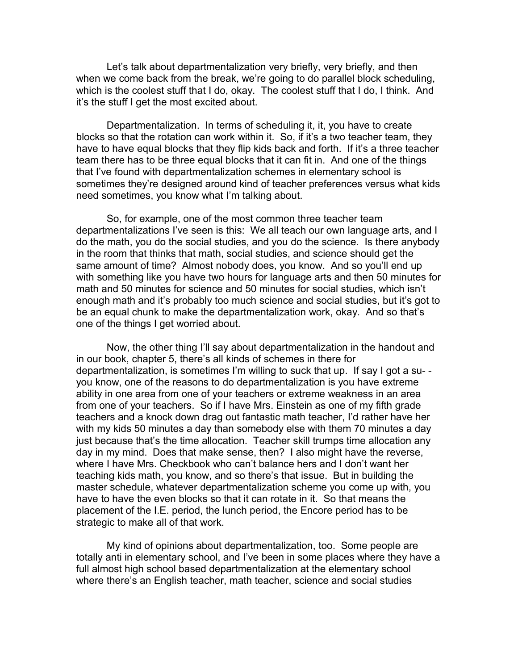Let's talk about departmentalization very briefly, very briefly, and then when we come back from the break, we're going to do parallel block scheduling, which is the coolest stuff that I do, okay. The coolest stuff that I do, I think. And it's the stuff I get the most excited about.

Departmentalization. In terms of scheduling it, it, you have to create blocks so that the rotation can work within it. So, if it's a two teacher team, they have to have equal blocks that they flip kids back and forth. If it's a three teacher team there has to be three equal blocks that it can fit in. And one of the things that I've found with departmentalization schemes in elementary school is sometimes they're designed around kind of teacher preferences versus what kids need sometimes, you know what I'm talking about.

So, for example, one of the most common three teacher team departmentalizations I've seen is this: We all teach our own language arts, and I do the math, you do the social studies, and you do the science. Is there anybody in the room that thinks that math, social studies, and science should get the same amount of time? Almost nobody does, you know. And so you'll end up with something like you have two hours for language arts and then 50 minutes for math and 50 minutes for science and 50 minutes for social studies, which isn't enough math and it's probably too much science and social studies, but it's got to be an equal chunk to make the departmentalization work, okay. And so that's one of the things I get worried about.

Now, the other thing I'll say about departmentalization in the handout and in our book, chapter 5, there's all kinds of schemes in there for departmentalization, is sometimes I'm willing to suck that up. If say I got a su- you know, one of the reasons to do departmentalization is you have extreme ability in one area from one of your teachers or extreme weakness in an area from one of your teachers. So if I have Mrs. Einstein as one of my fifth grade teachers and a knock down drag out fantastic math teacher, I'd rather have her with my kids 50 minutes a day than somebody else with them 70 minutes a day just because that's the time allocation. Teacher skill trumps time allocation any day in my mind. Does that make sense, then? I also might have the reverse, where I have Mrs. Checkbook who can't balance hers and I don't want her teaching kids math, you know, and so there's that issue. But in building the master schedule, whatever departmentalization scheme you come up with, you have to have the even blocks so that it can rotate in it. So that means the placement of the I.E. period, the lunch period, the Encore period has to be strategic to make all of that work.

My kind of opinions about departmentalization, too. Some people are totally anti in elementary school, and I've been in some places where they have a full almost high school based departmentalization at the elementary school where there's an English teacher, math teacher, science and social studies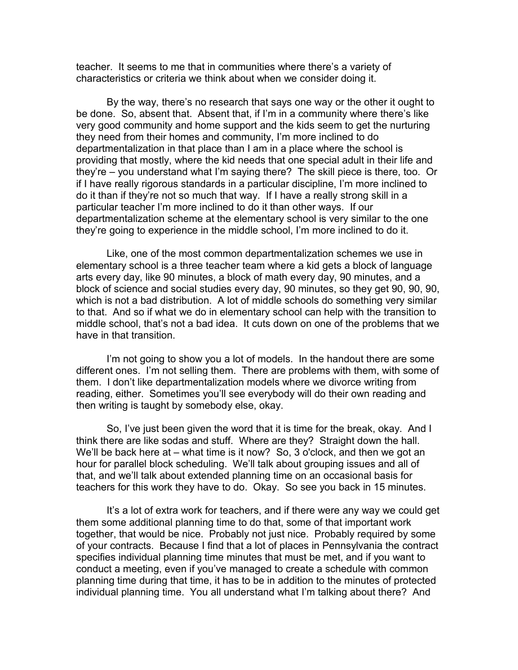teacher. It seems to me that in communities where there's a variety of characteristics or criteria we think about when we consider doing it.

By the way, there's no research that says one way or the other it ought to be done. So, absent that. Absent that, if I'm in a community where there's like very good community and home support and the kids seem to get the nurturing they need from their homes and community, I'm more inclined to do departmentalization in that place than I am in a place where the school is providing that mostly, where the kid needs that one special adult in their life and they're – you understand what I'm saying there? The skill piece is there, too. Or if I have really rigorous standards in a particular discipline, I'm more inclined to do it than if they're not so much that way. If I have a really strong skill in a particular teacher I'm more inclined to do it than other ways. If our departmentalization scheme at the elementary school is very similar to the one they're going to experience in the middle school, I'm more inclined to do it.

Like, one of the most common departmentalization schemes we use in elementary school is a three teacher team where a kid gets a block of language arts every day, like 90 minutes, a block of math every day, 90 minutes, and a block of science and social studies every day, 90 minutes, so they get 90, 90, 90, which is not a bad distribution. A lot of middle schools do something very similar to that. And so if what we do in elementary school can help with the transition to middle school, that's not a bad idea. It cuts down on one of the problems that we have in that transition.

I'm not going to show you a lot of models. In the handout there are some different ones. I'm not selling them. There are problems with them, with some of them. I don't like departmentalization models where we divorce writing from reading, either. Sometimes you'll see everybody will do their own reading and then writing is taught by somebody else, okay.

So, I've just been given the word that it is time for the break, okay. And I think there are like sodas and stuff. Where are they? Straight down the hall. We'll be back here at – what time is it now? So, 3 o'clock, and then we got an hour for parallel block scheduling. We'll talk about grouping issues and all of that, and we'll talk about extended planning time on an occasional basis for teachers for this work they have to do. Okay. So see you back in 15 minutes.

It's a lot of extra work for teachers, and if there were any way we could get them some additional planning time to do that, some of that important work together, that would be nice. Probably not just nice. Probably required by some of your contracts. Because I find that a lot of places in Pennsylvania the contract specifies individual planning time minutes that must be met, and if you want to conduct a meeting, even if you've managed to create a schedule with common planning time during that time, it has to be in addition to the minutes of protected individual planning time. You all understand what I'm talking about there? And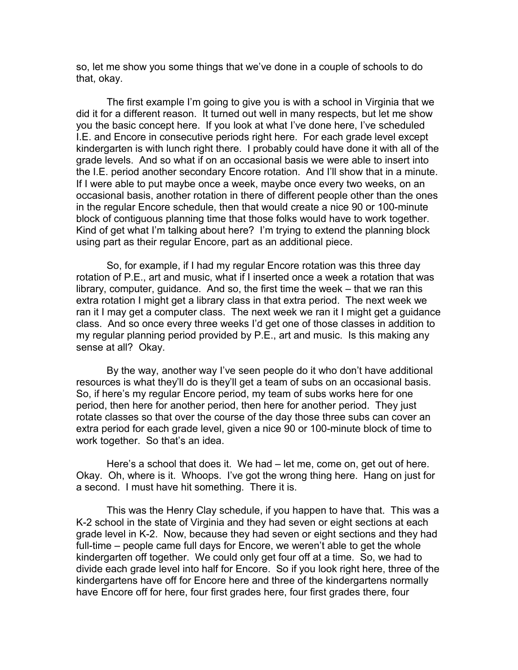so, let me show you some things that we've done in a couple of schools to do that, okay.

The first example I'm going to give you is with a school in Virginia that we did it for a different reason. It turned out well in many respects, but let me show you the basic concept here. If you look at what I've done here, I've scheduled I.E. and Encore in consecutive periods right here. For each grade level except kindergarten is with lunch right there. I probably could have done it with all of the grade levels. And so what if on an occasional basis we were able to insert into the I.E. period another secondary Encore rotation. And I'll show that in a minute. If I were able to put maybe once a week, maybe once every two weeks, on an occasional basis, another rotation in there of different people other than the ones in the regular Encore schedule, then that would create a nice 90 or 100-minute block of contiguous planning time that those folks would have to work together. Kind of get what I'm talking about here? I'm trying to extend the planning block using part as their regular Encore, part as an additional piece.

So, for example, if I had my regular Encore rotation was this three day rotation of P.E., art and music, what if I inserted once a week a rotation that was library, computer, guidance. And so, the first time the week – that we ran this extra rotation I might get a library class in that extra period. The next week we ran it I may get a computer class. The next week we ran it I might get a guidance class. And so once every three weeks I'd get one of those classes in addition to my regular planning period provided by P.E., art and music. Is this making any sense at all? Okay.

By the way, another way I've seen people do it who don't have additional resources is what they'll do is they'll get a team of subs on an occasional basis. So, if here's my regular Encore period, my team of subs works here for one period, then here for another period, then here for another period. They just rotate classes so that over the course of the day those three subs can cover an extra period for each grade level, given a nice 90 or 100-minute block of time to work together. So that's an idea.

Here's a school that does it. We had – let me, come on, get out of here. Okay. Oh, where is it. Whoops. I've got the wrong thing here. Hang on just for a second. I must have hit something. There it is.

This was the Henry Clay schedule, if you happen to have that. This was a K-2 school in the state of Virginia and they had seven or eight sections at each grade level in K-2. Now, because they had seven or eight sections and they had full-time – people came full days for Encore, we weren't able to get the whole kindergarten off together. We could only get four off at a time. So, we had to divide each grade level into half for Encore. So if you look right here, three of the kindergartens have off for Encore here and three of the kindergartens normally have Encore off for here, four first grades here, four first grades there, four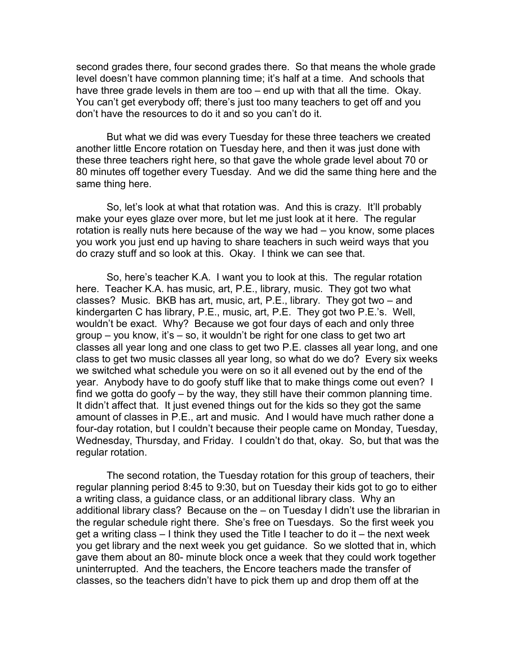second grades there, four second grades there. So that means the whole grade level doesn't have common planning time; it's half at a time. And schools that have three grade levels in them are too – end up with that all the time. Okay. You can't get everybody off; there's just too many teachers to get off and you don't have the resources to do it and so you can't do it.

But what we did was every Tuesday for these three teachers we created another little Encore rotation on Tuesday here, and then it was just done with these three teachers right here, so that gave the whole grade level about 70 or 80 minutes off together every Tuesday. And we did the same thing here and the same thing here.

So, let's look at what that rotation was. And this is crazy. It'll probably make your eyes glaze over more, but let me just look at it here. The regular rotation is really nuts here because of the way we had – you know, some places you work you just end up having to share teachers in such weird ways that you do crazy stuff and so look at this. Okay. I think we can see that.

So, here's teacher K.A. I want you to look at this. The regular rotation here. Teacher K.A. has music, art, P.E., library, music. They got two what classes? Music. BKB has art, music, art, P.E., library. They got two – and kindergarten C has library, P.E., music, art, P.E. They got two P.E.'s. Well, wouldn't be exact. Why? Because we got four days of each and only three group – you know, it's – so, it wouldn't be right for one class to get two art classes all year long and one class to get two P.E. classes all year long, and one class to get two music classes all year long, so what do we do? Every six weeks we switched what schedule you were on so it all evened out by the end of the year. Anybody have to do goofy stuff like that to make things come out even? I find we gotta do goofy – by the way, they still have their common planning time. It didn't affect that. It just evened things out for the kids so they got the same amount of classes in P.E., art and music. And I would have much rather done a four-day rotation, but I couldn't because their people came on Monday, Tuesday, Wednesday, Thursday, and Friday. I couldn't do that, okay. So, but that was the regular rotation.

The second rotation, the Tuesday rotation for this group of teachers, their regular planning period 8:45 to 9:30, but on Tuesday their kids got to go to either a writing class, a guidance class, or an additional library class. Why an additional library class? Because on the – on Tuesday I didn't use the librarian in the regular schedule right there. She's free on Tuesdays. So the first week you get a writing class – I think they used the Title I teacher to do it – the next week you get library and the next week you get guidance. So we slotted that in, which gave them about an 80- minute block once a week that they could work together uninterrupted. And the teachers, the Encore teachers made the transfer of classes, so the teachers didn't have to pick them up and drop them off at the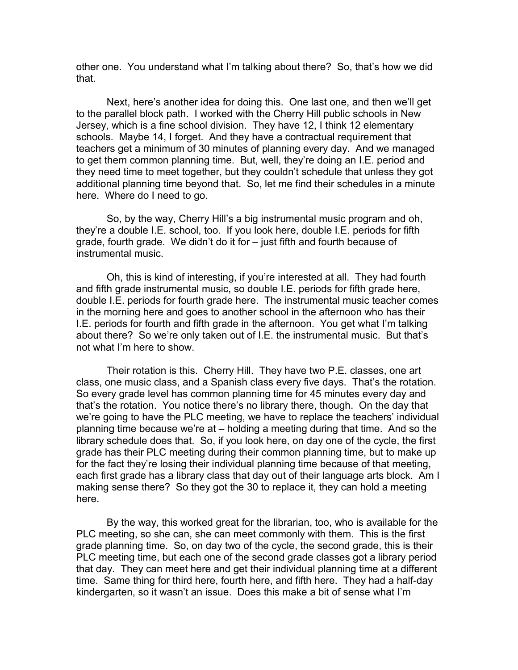other one. You understand what I'm talking about there? So, that's how we did that.

Next, here's another idea for doing this. One last one, and then we'll get to the parallel block path. I worked with the Cherry Hill public schools in New Jersey, which is a fine school division. They have 12, I think 12 elementary schools. Maybe 14, I forget. And they have a contractual requirement that teachers get a minimum of 30 minutes of planning every day. And we managed to get them common planning time. But, well, they're doing an I.E. period and they need time to meet together, but they couldn't schedule that unless they got additional planning time beyond that. So, let me find their schedules in a minute here. Where do I need to go.

So, by the way, Cherry Hill's a big instrumental music program and oh, they're a double I.E. school, too. If you look here, double I.E. periods for fifth grade, fourth grade. We didn't do it for – just fifth and fourth because of instrumental music.

Oh, this is kind of interesting, if you're interested at all. They had fourth and fifth grade instrumental music, so double I.E. periods for fifth grade here, double I.E. periods for fourth grade here. The instrumental music teacher comes in the morning here and goes to another school in the afternoon who has their I.E. periods for fourth and fifth grade in the afternoon. You get what I'm talking about there? So we're only taken out of I.E. the instrumental music. But that's not what I'm here to show.

Their rotation is this. Cherry Hill. They have two P.E. classes, one art class, one music class, and a Spanish class every five days. That's the rotation. So every grade level has common planning time for 45 minutes every day and that's the rotation. You notice there's no library there, though. On the day that we're going to have the PLC meeting, we have to replace the teachers' individual planning time because we're at – holding a meeting during that time. And so the library schedule does that. So, if you look here, on day one of the cycle, the first grade has their PLC meeting during their common planning time, but to make up for the fact they're losing their individual planning time because of that meeting, each first grade has a library class that day out of their language arts block. Am I making sense there? So they got the 30 to replace it, they can hold a meeting here.

By the way, this worked great for the librarian, too, who is available for the PLC meeting, so she can, she can meet commonly with them. This is the first grade planning time. So, on day two of the cycle, the second grade, this is their PLC meeting time, but each one of the second grade classes got a library period that day. They can meet here and get their individual planning time at a different time. Same thing for third here, fourth here, and fifth here. They had a half-day kindergarten, so it wasn't an issue. Does this make a bit of sense what I'm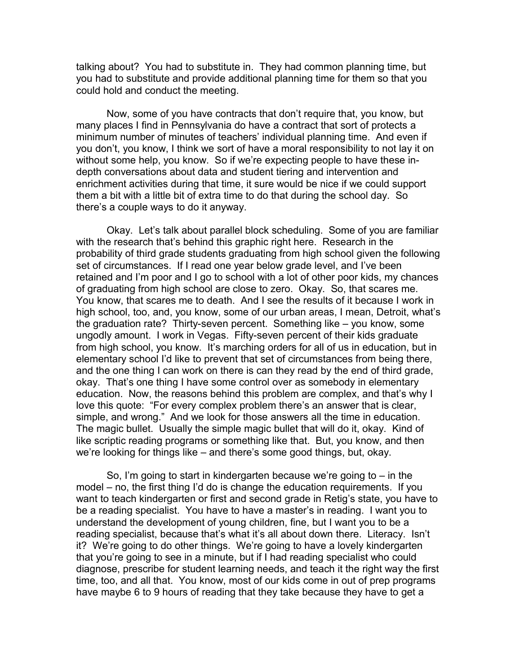talking about? You had to substitute in. They had common planning time, but you had to substitute and provide additional planning time for them so that you could hold and conduct the meeting.

Now, some of you have contracts that don't require that, you know, but many places I find in Pennsylvania do have a contract that sort of protects a minimum number of minutes of teachers' individual planning time. And even if you don't, you know, I think we sort of have a moral responsibility to not lay it on without some help, you know. So if we're expecting people to have these indepth conversations about data and student tiering and intervention and enrichment activities during that time, it sure would be nice if we could support them a bit with a little bit of extra time to do that during the school day. So there's a couple ways to do it anyway.

Okay. Let's talk about parallel block scheduling. Some of you are familiar with the research that's behind this graphic right here. Research in the probability of third grade students graduating from high school given the following set of circumstances. If I read one year below grade level, and I've been retained and I'm poor and I go to school with a lot of other poor kids, my chances of graduating from high school are close to zero. Okay. So, that scares me. You know, that scares me to death. And I see the results of it because I work in high school, too, and, you know, some of our urban areas, I mean, Detroit, what's the graduation rate? Thirty-seven percent. Something like – you know, some ungodly amount. I work in Vegas. Fifty-seven percent of their kids graduate from high school, you know. It's marching orders for all of us in education, but in elementary school I'd like to prevent that set of circumstances from being there, and the one thing I can work on there is can they read by the end of third grade, okay. That's one thing I have some control over as somebody in elementary education. Now, the reasons behind this problem are complex, and that's why I love this quote: "For every complex problem there's an answer that is clear, simple, and wrong." And we look for those answers all the time in education. The magic bullet. Usually the simple magic bullet that will do it, okay. Kind of like scriptic reading programs or something like that. But, you know, and then we're looking for things like – and there's some good things, but, okay.

So, I'm going to start in kindergarten because we're going to  $-$  in the model – no, the first thing I'd do is change the education requirements. If you want to teach kindergarten or first and second grade in Retig's state, you have to be a reading specialist. You have to have a master's in reading. I want you to understand the development of young children, fine, but I want you to be a reading specialist, because that's what it's all about down there. Literacy. Isn't it? We're going to do other things. We're going to have a lovely kindergarten that you're going to see in a minute, but if I had reading specialist who could diagnose, prescribe for student learning needs, and teach it the right way the first time, too, and all that. You know, most of our kids come in out of prep programs have maybe 6 to 9 hours of reading that they take because they have to get a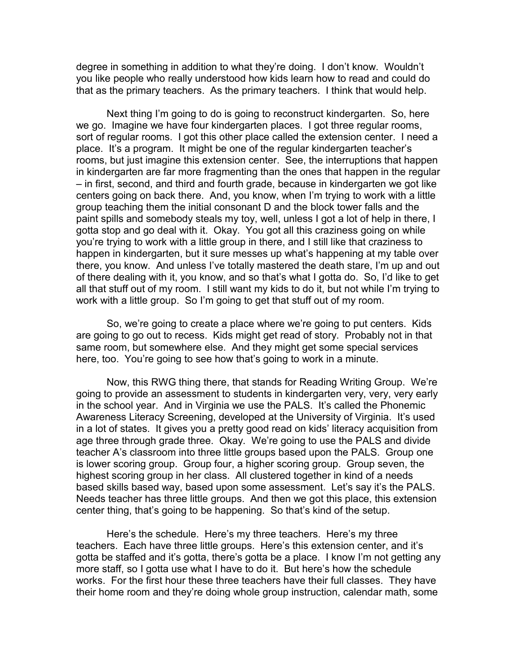degree in something in addition to what they're doing. I don't know. Wouldn't you like people who really understood how kids learn how to read and could do that as the primary teachers. As the primary teachers. I think that would help.

Next thing I'm going to do is going to reconstruct kindergarten. So, here we go. Imagine we have four kindergarten places. I got three regular rooms, sort of regular rooms. I got this other place called the extension center. I need a place. It's a program. It might be one of the regular kindergarten teacher's rooms, but just imagine this extension center. See, the interruptions that happen in kindergarten are far more fragmenting than the ones that happen in the regular – in first, second, and third and fourth grade, because in kindergarten we got like centers going on back there. And, you know, when I'm trying to work with a little group teaching them the initial consonant D and the block tower falls and the paint spills and somebody steals my toy, well, unless I got a lot of help in there, I gotta stop and go deal with it. Okay. You got all this craziness going on while you're trying to work with a little group in there, and I still like that craziness to happen in kindergarten, but it sure messes up what's happening at my table over there, you know. And unless I've totally mastered the death stare, I'm up and out of there dealing with it, you know, and so that's what I gotta do. So, I'd like to get all that stuff out of my room. I still want my kids to do it, but not while I'm trying to work with a little group. So I'm going to get that stuff out of my room.

So, we're going to create a place where we're going to put centers. Kids are going to go out to recess. Kids might get read of story. Probably not in that same room, but somewhere else. And they might get some special services here, too. You're going to see how that's going to work in a minute.

Now, this RWG thing there, that stands for Reading Writing Group. We're going to provide an assessment to students in kindergarten very, very, very early in the school year. And in Virginia we use the PALS. It's called the Phonemic Awareness Literacy Screening, developed at the University of Virginia. It's used in a lot of states. It gives you a pretty good read on kids' literacy acquisition from age three through grade three. Okay. We're going to use the PALS and divide teacher A's classroom into three little groups based upon the PALS. Group one is lower scoring group. Group four, a higher scoring group. Group seven, the highest scoring group in her class. All clustered together in kind of a needs based skills based way, based upon some assessment. Let's say it's the PALS. Needs teacher has three little groups. And then we got this place, this extension center thing, that's going to be happening. So that's kind of the setup.

Here's the schedule. Here's my three teachers. Here's my three teachers. Each have three little groups. Here's this extension center, and it's gotta be staffed and it's gotta, there's gotta be a place. I know I'm not getting any more staff, so I gotta use what I have to do it. But here's how the schedule works. For the first hour these three teachers have their full classes. They have their home room and they're doing whole group instruction, calendar math, some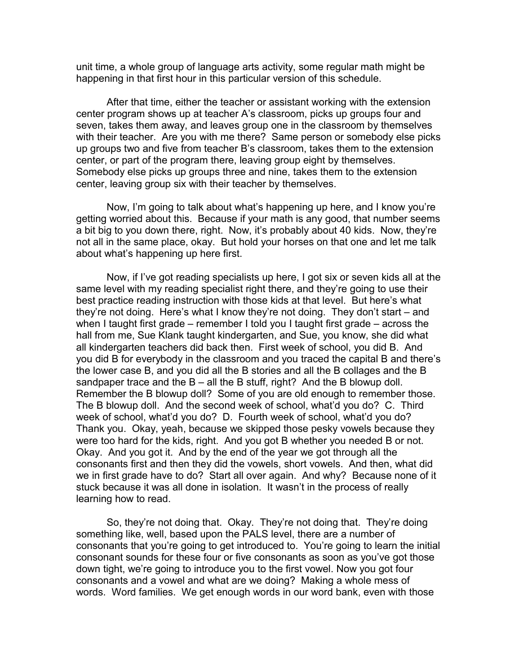unit time, a whole group of language arts activity, some regular math might be happening in that first hour in this particular version of this schedule.

After that time, either the teacher or assistant working with the extension center program shows up at teacher A's classroom, picks up groups four and seven, takes them away, and leaves group one in the classroom by themselves with their teacher. Are you with me there? Same person or somebody else picks up groups two and five from teacher B's classroom, takes them to the extension center, or part of the program there, leaving group eight by themselves. Somebody else picks up groups three and nine, takes them to the extension center, leaving group six with their teacher by themselves.

Now, I'm going to talk about what's happening up here, and I know you're getting worried about this. Because if your math is any good, that number seems a bit big to you down there, right. Now, it's probably about 40 kids. Now, they're not all in the same place, okay. But hold your horses on that one and let me talk about what's happening up here first.

Now, if I've got reading specialists up here, I got six or seven kids all at the same level with my reading specialist right there, and they're going to use their best practice reading instruction with those kids at that level. But here's what they're not doing. Here's what I know they're not doing. They don't start – and when I taught first grade – remember I told you I taught first grade – across the hall from me, Sue Klank taught kindergarten, and Sue, you know, she did what all kindergarten teachers did back then. First week of school, you did B. And you did B for everybody in the classroom and you traced the capital B and there's the lower case B, and you did all the B stories and all the B collages and the B sandpaper trace and the  $B - all$  the B stuff, right? And the B blowup doll. Remember the B blowup doll? Some of you are old enough to remember those. The B blowup doll. And the second week of school, what'd you do? C. Third week of school, what'd you do? D. Fourth week of school, what'd you do? Thank you. Okay, yeah, because we skipped those pesky vowels because they were too hard for the kids, right. And you got B whether you needed B or not. Okay. And you got it. And by the end of the year we got through all the consonants first and then they did the vowels, short vowels. And then, what did we in first grade have to do? Start all over again. And why? Because none of it stuck because it was all done in isolation. It wasn't in the process of really learning how to read.

So, they're not doing that. Okay. They're not doing that. They're doing something like, well, based upon the PALS level, there are a number of consonants that you're going to get introduced to. You're going to learn the initial consonant sounds for these four or five consonants as soon as you've got those down tight, we're going to introduce you to the first vowel. Now you got four consonants and a vowel and what are we doing? Making a whole mess of words. Word families. We get enough words in our word bank, even with those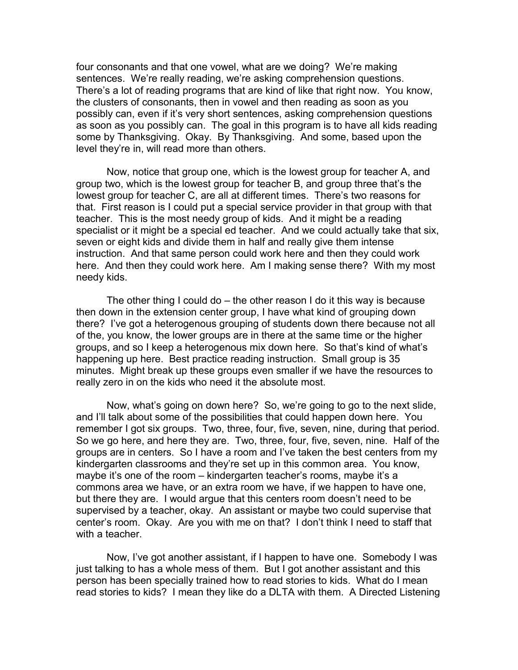four consonants and that one vowel, what are we doing? We're making sentences. We're really reading, we're asking comprehension questions. There's a lot of reading programs that are kind of like that right now. You know, the clusters of consonants, then in vowel and then reading as soon as you possibly can, even if it's very short sentences, asking comprehension questions as soon as you possibly can. The goal in this program is to have all kids reading some by Thanksgiving. Okay. By Thanksgiving. And some, based upon the level they're in, will read more than others.

Now, notice that group one, which is the lowest group for teacher A, and group two, which is the lowest group for teacher B, and group three that's the lowest group for teacher C, are all at different times. There's two reasons for that. First reason is I could put a special service provider in that group with that teacher. This is the most needy group of kids. And it might be a reading specialist or it might be a special ed teacher. And we could actually take that six, seven or eight kids and divide them in half and really give them intense instruction. And that same person could work here and then they could work here. And then they could work here. Am I making sense there? With my most needy kids.

The other thing I could do – the other reason I do it this way is because then down in the extension center group, I have what kind of grouping down there? I've got a heterogenous grouping of students down there because not all of the, you know, the lower groups are in there at the same time or the higher groups, and so I keep a heterogenous mix down here. So that's kind of what's happening up here. Best practice reading instruction. Small group is 35 minutes. Might break up these groups even smaller if we have the resources to really zero in on the kids who need it the absolute most.

Now, what's going on down here? So, we're going to go to the next slide, and I'll talk about some of the possibilities that could happen down here. You remember I got six groups. Two, three, four, five, seven, nine, during that period. So we go here, and here they are. Two, three, four, five, seven, nine. Half of the groups are in centers. So I have a room and I've taken the best centers from my kindergarten classrooms and they're set up in this common area. You know, maybe it's one of the room – kindergarten teacher's rooms, maybe it's a commons area we have, or an extra room we have, if we happen to have one, but there they are. I would argue that this centers room doesn't need to be supervised by a teacher, okay. An assistant or maybe two could supervise that center's room. Okay. Are you with me on that? I don't think I need to staff that with a teacher.

Now, I've got another assistant, if I happen to have one. Somebody I was just talking to has a whole mess of them. But I got another assistant and this person has been specially trained how to read stories to kids. What do I mean read stories to kids? I mean they like do a DLTA with them. A Directed Listening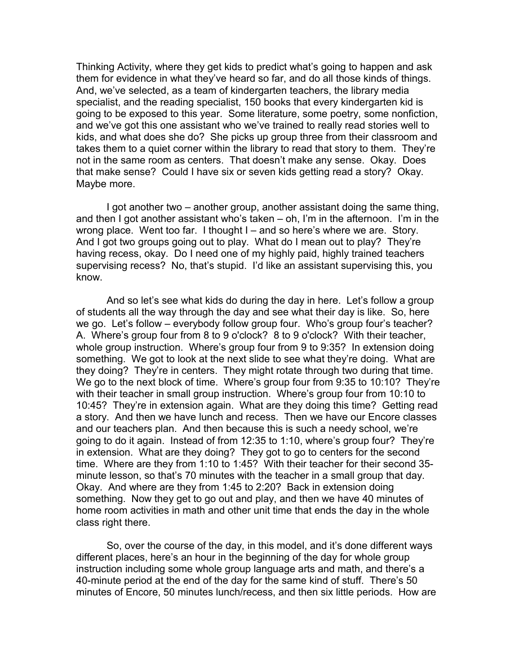Thinking Activity, where they get kids to predict what's going to happen and ask them for evidence in what they've heard so far, and do all those kinds of things. And, we've selected, as a team of kindergarten teachers, the library media specialist, and the reading specialist, 150 books that every kindergarten kid is going to be exposed to this year. Some literature, some poetry, some nonfiction, and we've got this one assistant who we've trained to really read stories well to kids, and what does she do? She picks up group three from their classroom and takes them to a quiet corner within the library to read that story to them. They're not in the same room as centers. That doesn't make any sense. Okay. Does that make sense? Could I have six or seven kids getting read a story? Okay. Maybe more.

I got another two – another group, another assistant doing the same thing, and then I got another assistant who's taken – oh, I'm in the afternoon. I'm in the wrong place. Went too far. I thought I – and so here's where we are. Story. And I got two groups going out to play. What do I mean out to play? They're having recess, okay. Do I need one of my highly paid, highly trained teachers supervising recess? No, that's stupid. I'd like an assistant supervising this, you know.

And so let's see what kids do during the day in here. Let's follow a group of students all the way through the day and see what their day is like. So, here we go. Let's follow – everybody follow group four. Who's group four's teacher? A. Where's group four from 8 to 9 o'clock? 8 to 9 o'clock? With their teacher, whole group instruction. Where's group four from 9 to 9:35? In extension doing something. We got to look at the next slide to see what they're doing. What are they doing? They're in centers. They might rotate through two during that time. We go to the next block of time. Where's group four from 9:35 to 10:10? They're with their teacher in small group instruction. Where's group four from 10:10 to 10:45? They're in extension again. What are they doing this time? Getting read a story. And then we have lunch and recess. Then we have our Encore classes and our teachers plan. And then because this is such a needy school, we're going to do it again. Instead of from 12:35 to 1:10, where's group four? They're in extension. What are they doing? They got to go to centers for the second time. Where are they from 1:10 to 1:45? With their teacher for their second 35 minute lesson, so that's 70 minutes with the teacher in a small group that day. Okay. And where are they from 1:45 to 2:20? Back in extension doing something. Now they get to go out and play, and then we have 40 minutes of home room activities in math and other unit time that ends the day in the whole class right there.

So, over the course of the day, in this model, and it's done different ways different places, here's an hour in the beginning of the day for whole group instruction including some whole group language arts and math, and there's a 40-minute period at the end of the day for the same kind of stuff. There's 50 minutes of Encore, 50 minutes lunch/recess, and then six little periods. How are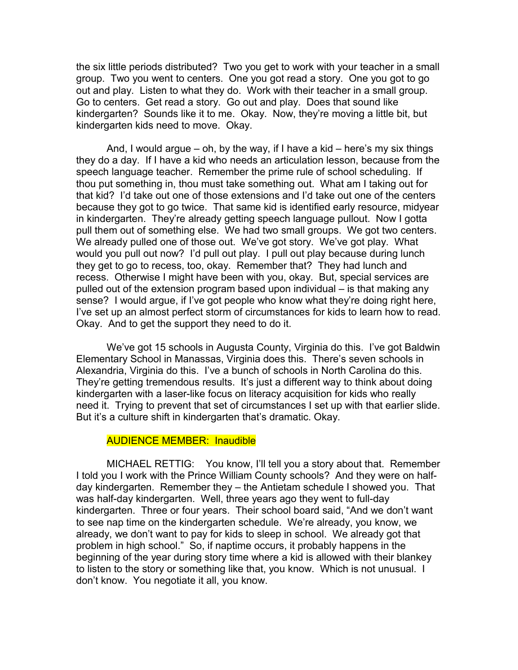the six little periods distributed? Two you get to work with your teacher in a small group. Two you went to centers. One you got read a story. One you got to go out and play. Listen to what they do. Work with their teacher in a small group. Go to centers. Get read a story. Go out and play. Does that sound like kindergarten? Sounds like it to me. Okay. Now, they're moving a little bit, but kindergarten kids need to move. Okay.

And, I would argue  $-$  oh, by the way, if I have a kid  $-$  here's my six things they do a day. If I have a kid who needs an articulation lesson, because from the speech language teacher. Remember the prime rule of school scheduling. If thou put something in, thou must take something out. What am I taking out for that kid? I'd take out one of those extensions and I'd take out one of the centers because they got to go twice. That same kid is identified early resource, midyear in kindergarten. They're already getting speech language pullout. Now I gotta pull them out of something else. We had two small groups. We got two centers. We already pulled one of those out. We've got story. We've got play. What would you pull out now? I'd pull out play. I pull out play because during lunch they get to go to recess, too, okay. Remember that? They had lunch and recess. Otherwise I might have been with you, okay. But, special services are pulled out of the extension program based upon individual – is that making any sense? I would argue, if I've got people who know what they're doing right here, I've set up an almost perfect storm of circumstances for kids to learn how to read. Okay. And to get the support they need to do it.

We've got 15 schools in Augusta County, Virginia do this. I've got Baldwin Elementary School in Manassas, Virginia does this. There's seven schools in Alexandria, Virginia do this. I've a bunch of schools in North Carolina do this. They're getting tremendous results. It's just a different way to think about doing kindergarten with a laser-like focus on literacy acquisition for kids who really need it. Trying to prevent that set of circumstances I set up with that earlier slide. But it's a culture shift in kindergarten that's dramatic. Okay.

#### AUDIENCE MEMBER: Inaudible

MICHAEL RETTIG: You know, I'll tell you a story about that. Remember I told you I work with the Prince William County schools? And they were on halfday kindergarten. Remember they – the Antietam schedule I showed you. That was half-day kindergarten. Well, three years ago they went to full-day kindergarten. Three or four years. Their school board said, "And we don't want to see nap time on the kindergarten schedule. We're already, you know, we already, we don't want to pay for kids to sleep in school. We already got that problem in high school." So, if naptime occurs, it probably happens in the beginning of the year during story time where a kid is allowed with their blankey to listen to the story or something like that, you know. Which is not unusual. I don't know. You negotiate it all, you know.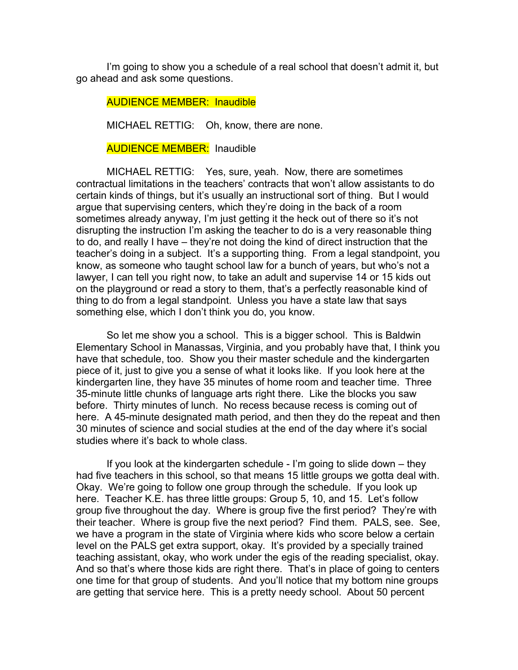I'm going to show you a schedule of a real school that doesn't admit it, but go ahead and ask some questions.

AUDIENCE MEMBER: Inaudible

MICHAEL RETTIG: Oh, know, there are none.

**AUDIENCE MEMBER:** Inaudible

MICHAEL RETTIG: Yes, sure, yeah. Now, there are sometimes contractual limitations in the teachers' contracts that won't allow assistants to do certain kinds of things, but it's usually an instructional sort of thing. But I would argue that supervising centers, which they're doing in the back of a room sometimes already anyway, I'm just getting it the heck out of there so it's not disrupting the instruction I'm asking the teacher to do is a very reasonable thing to do, and really I have – they're not doing the kind of direct instruction that the teacher's doing in a subject. It's a supporting thing. From a legal standpoint, you know, as someone who taught school law for a bunch of years, but who's not a lawyer, I can tell you right now, to take an adult and supervise 14 or 15 kids out on the playground or read a story to them, that's a perfectly reasonable kind of thing to do from a legal standpoint. Unless you have a state law that says something else, which I don't think you do, you know.

So let me show you a school. This is a bigger school. This is Baldwin Elementary School in Manassas, Virginia, and you probably have that, I think you have that schedule, too. Show you their master schedule and the kindergarten piece of it, just to give you a sense of what it looks like. If you look here at the kindergarten line, they have 35 minutes of home room and teacher time. Three 35-minute little chunks of language arts right there. Like the blocks you saw before. Thirty minutes of lunch. No recess because recess is coming out of here. A 45-minute designated math period, and then they do the repeat and then 30 minutes of science and social studies at the end of the day where it's social studies where it's back to whole class.

If you look at the kindergarten schedule - I'm going to slide down – they had five teachers in this school, so that means 15 little groups we gotta deal with. Okay. We're going to follow one group through the schedule. If you look up here. Teacher K.E. has three little groups: Group 5, 10, and 15. Let's follow group five throughout the day. Where is group five the first period? They're with their teacher. Where is group five the next period? Find them. PALS, see. See, we have a program in the state of Virginia where kids who score below a certain level on the PALS get extra support, okay. It's provided by a specially trained teaching assistant, okay, who work under the egis of the reading specialist, okay. And so that's where those kids are right there. That's in place of going to centers one time for that group of students. And you'll notice that my bottom nine groups are getting that service here. This is a pretty needy school. About 50 percent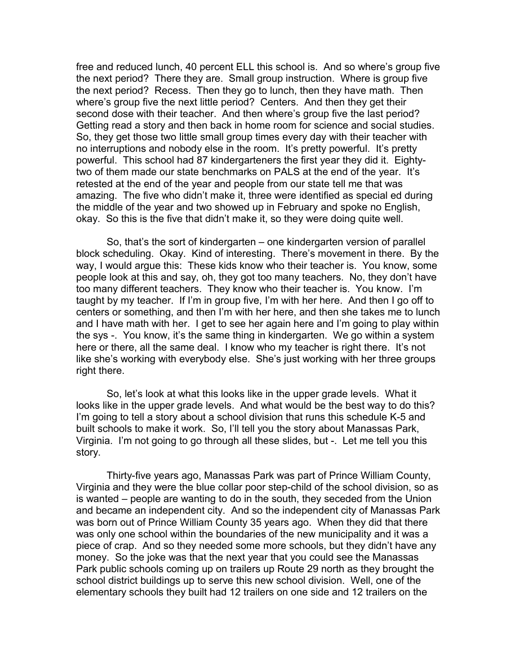free and reduced lunch, 40 percent ELL this school is. And so where's group five the next period? There they are. Small group instruction. Where is group five the next period? Recess. Then they go to lunch, then they have math. Then where's group five the next little period? Centers. And then they get their second dose with their teacher. And then where's group five the last period? Getting read a story and then back in home room for science and social studies. So, they get those two little small group times every day with their teacher with no interruptions and nobody else in the room. It's pretty powerful. It's pretty powerful. This school had 87 kindergarteners the first year they did it. Eightytwo of them made our state benchmarks on PALS at the end of the year. It's retested at the end of the year and people from our state tell me that was amazing. The five who didn't make it, three were identified as special ed during the middle of the year and two showed up in February and spoke no English, okay. So this is the five that didn't make it, so they were doing quite well.

So, that's the sort of kindergarten – one kindergarten version of parallel block scheduling. Okay. Kind of interesting. There's movement in there. By the way, I would argue this: These kids know who their teacher is. You know, some people look at this and say, oh, they got too many teachers. No, they don't have too many different teachers. They know who their teacher is. You know. I'm taught by my teacher. If I'm in group five, I'm with her here. And then I go off to centers or something, and then I'm with her here, and then she takes me to lunch and I have math with her. I get to see her again here and I'm going to play within the sys -. You know, it's the same thing in kindergarten. We go within a system here or there, all the same deal. I know who my teacher is right there. It's not like she's working with everybody else. She's just working with her three groups right there.

So, let's look at what this looks like in the upper grade levels. What it looks like in the upper grade levels. And what would be the best way to do this? I'm going to tell a story about a school division that runs this schedule K-5 and built schools to make it work. So, I'll tell you the story about Manassas Park, Virginia. I'm not going to go through all these slides, but -. Let me tell you this story.

Thirty-five years ago, Manassas Park was part of Prince William County, Virginia and they were the blue collar poor step-child of the school division, so as is wanted – people are wanting to do in the south, they seceded from the Union and became an independent city. And so the independent city of Manassas Park was born out of Prince William County 35 years ago. When they did that there was only one school within the boundaries of the new municipality and it was a piece of crap. And so they needed some more schools, but they didn't have any money. So the joke was that the next year that you could see the Manassas Park public schools coming up on trailers up Route 29 north as they brought the school district buildings up to serve this new school division. Well, one of the elementary schools they built had 12 trailers on one side and 12 trailers on the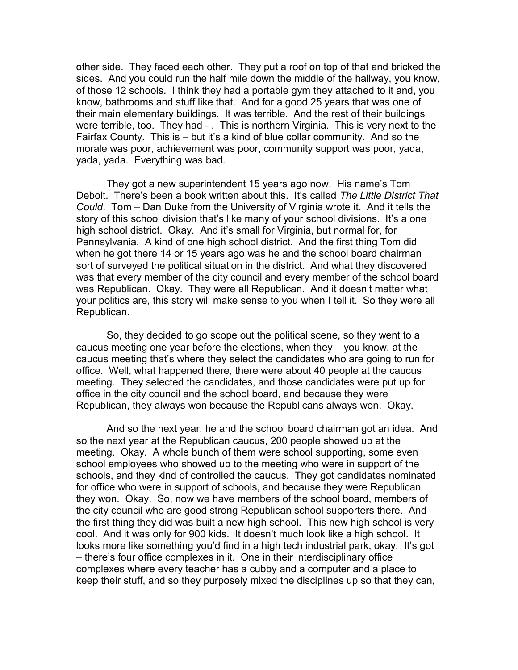other side. They faced each other. They put a roof on top of that and bricked the sides. And you could run the half mile down the middle of the hallway, you know, of those 12 schools. I think they had a portable gym they attached to it and, you know, bathrooms and stuff like that. And for a good 25 years that was one of their main elementary buildings. It was terrible. And the rest of their buildings were terrible, too. They had - . This is northern Virginia. This is very next to the Fairfax County. This is – but it's a kind of blue collar community. And so the morale was poor, achievement was poor, community support was poor, yada, yada, yada. Everything was bad.

They got a new superintendent 15 years ago now. His name's Tom Debolt. There's been a book written about this. It's called *The Little District That Could*. Tom – Dan Duke from the University of Virginia wrote it. And it tells the story of this school division that's like many of your school divisions. It's a one high school district. Okay. And it's small for Virginia, but normal for, for Pennsylvania. A kind of one high school district. And the first thing Tom did when he got there 14 or 15 years ago was he and the school board chairman sort of surveyed the political situation in the district. And what they discovered was that every member of the city council and every member of the school board was Republican. Okay. They were all Republican. And it doesn't matter what your politics are, this story will make sense to you when I tell it. So they were all Republican.

So, they decided to go scope out the political scene, so they went to a caucus meeting one year before the elections, when they – you know, at the caucus meeting that's where they select the candidates who are going to run for office. Well, what happened there, there were about 40 people at the caucus meeting. They selected the candidates, and those candidates were put up for office in the city council and the school board, and because they were Republican, they always won because the Republicans always won. Okay.

And so the next year, he and the school board chairman got an idea. And so the next year at the Republican caucus, 200 people showed up at the meeting. Okay. A whole bunch of them were school supporting, some even school employees who showed up to the meeting who were in support of the schools, and they kind of controlled the caucus. They got candidates nominated for office who were in support of schools, and because they were Republican they won. Okay. So, now we have members of the school board, members of the city council who are good strong Republican school supporters there. And the first thing they did was built a new high school. This new high school is very cool. And it was only for 900 kids. It doesn't much look like a high school. It looks more like something you'd find in a high tech industrial park, okay. It's got – there's four office complexes in it. One in their interdisciplinary office complexes where every teacher has a cubby and a computer and a place to keep their stuff, and so they purposely mixed the disciplines up so that they can,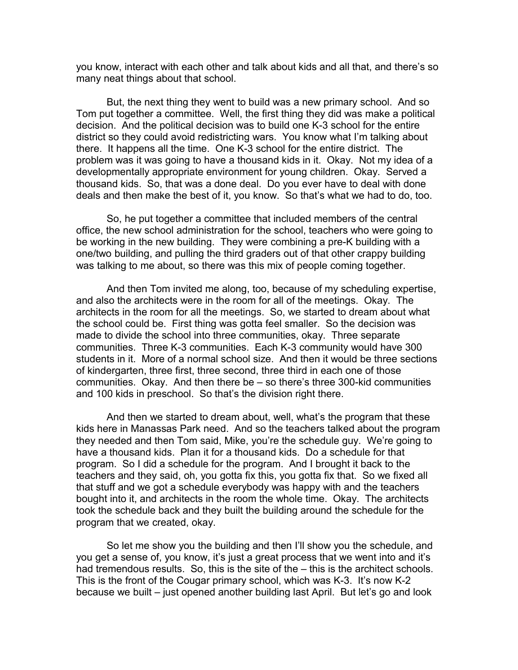you know, interact with each other and talk about kids and all that, and there's so many neat things about that school.

But, the next thing they went to build was a new primary school. And so Tom put together a committee. Well, the first thing they did was make a political decision. And the political decision was to build one K-3 school for the entire district so they could avoid redistricting wars. You know what I'm talking about there. It happens all the time. One K-3 school for the entire district. The problem was it was going to have a thousand kids in it. Okay. Not my idea of a developmentally appropriate environment for young children. Okay. Served a thousand kids. So, that was a done deal. Do you ever have to deal with done deals and then make the best of it, you know. So that's what we had to do, too.

So, he put together a committee that included members of the central office, the new school administration for the school, teachers who were going to be working in the new building. They were combining a pre-K building with a one/two building, and pulling the third graders out of that other crappy building was talking to me about, so there was this mix of people coming together.

And then Tom invited me along, too, because of my scheduling expertise, and also the architects were in the room for all of the meetings. Okay. The architects in the room for all the meetings. So, we started to dream about what the school could be. First thing was gotta feel smaller. So the decision was made to divide the school into three communities, okay. Three separate communities. Three K-3 communities. Each K-3 community would have 300 students in it. More of a normal school size. And then it would be three sections of kindergarten, three first, three second, three third in each one of those communities. Okay. And then there be – so there's three 300-kid communities and 100 kids in preschool. So that's the division right there.

And then we started to dream about, well, what's the program that these kids here in Manassas Park need. And so the teachers talked about the program they needed and then Tom said, Mike, you're the schedule guy. We're going to have a thousand kids. Plan it for a thousand kids. Do a schedule for that program. So I did a schedule for the program. And I brought it back to the teachers and they said, oh, you gotta fix this, you gotta fix that. So we fixed all that stuff and we got a schedule everybody was happy with and the teachers bought into it, and architects in the room the whole time. Okay. The architects took the schedule back and they built the building around the schedule for the program that we created, okay.

So let me show you the building and then I'll show you the schedule, and you get a sense of, you know, it's just a great process that we went into and it's had tremendous results. So, this is the site of the – this is the architect schools. This is the front of the Cougar primary school, which was K-3. It's now K-2 because we built – just opened another building last April. But let's go and look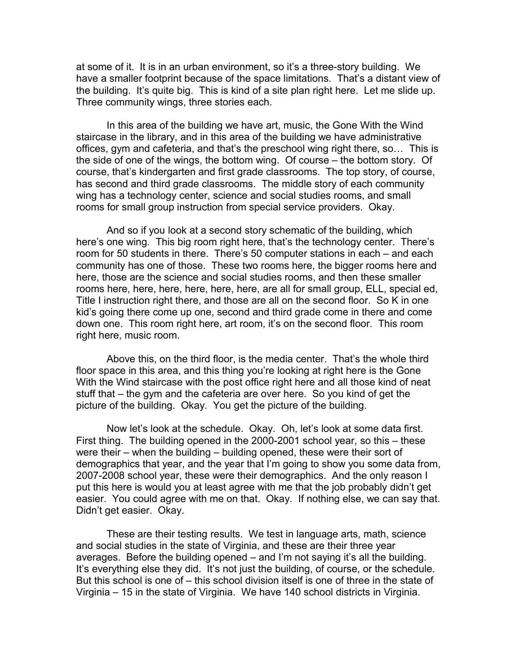at some of it. It is in an urban environment, so it's a three-story building. We have a smaller footprint because of the space limitations. That's a distant view of the building. It's quite big. This is kind of a site plan right here. Let me slide up. Three community wings, three stories each.

In this area of the building we have art, music, the Gone With the Wind staircase in the library, and in this area of the building we have administrative offices, gym and cafeteria, and that's the preschool wing right there, so… This is the side of one of the wings, the bottom wing. Of course – the bottom story. Of course, that's kindergarten and first grade classrooms. The top story, of course, has second and third grade classrooms. The middle story of each community wing has a technology center, science and social studies rooms, and small rooms for small group instruction from special service providers. Okay.

And so if you look at a second story schematic of the building, which here's one wing. This big room right here, that's the technology center. There's room for 50 students in there. There's 50 computer stations in each – and each community has one of those. These two rooms here, the bigger rooms here and here, those are the science and social studies rooms, and then these smaller rooms here, here, here, here, here, here, are all for small group, ELL, special ed, Title I instruction right there, and those are all on the second floor. So K in one kid's going there come up one, second and third grade come in there and come down one. This room right here, art room, it's on the second floor. This room right here, music room.

Above this, on the third floor, is the media center. That's the whole third floor space in this area, and this thing you're looking at right here is the Gone With the Wind staircase with the post office right here and all those kind of neat stuff that – the gym and the cafeteria are over here. So you kind of get the picture of the building. Okay. You get the picture of the building.

Now let's look at the schedule. Okay. Oh, let's look at some data first. First thing. The building opened in the 2000-2001 school year, so this – these were their – when the building – building opened, these were their sort of demographics that year, and the year that I'm going to show you some data from, 2007-2008 school year, these were their demographics. And the only reason I put this here is would you at least agree with me that the job probably didn't get easier. You could agree with me on that. Okay. If nothing else, we can say that. Didn't get easier. Okay.

These are their testing results. We test in language arts, math, science and social studies in the state of Virginia, and these are their three year averages. Before the building opened – and I'm not saying it's all the building. It's everything else they did. It's not just the building, of course, or the schedule. But this school is one of – this school division itself is one of three in the state of Virginia – 15 in the state of Virginia. We have 140 school districts in Virginia.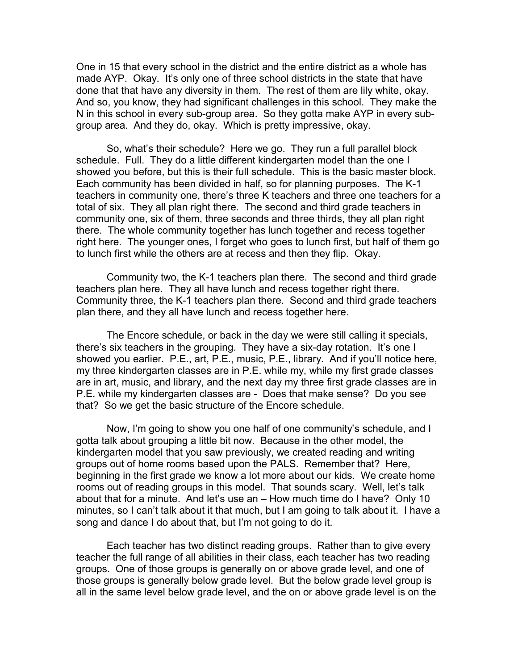One in 15 that every school in the district and the entire district as a whole has made AYP. Okay. It's only one of three school districts in the state that have done that that have any diversity in them. The rest of them are lily white, okay. And so, you know, they had significant challenges in this school. They make the N in this school in every sub-group area. So they gotta make AYP in every subgroup area. And they do, okay. Which is pretty impressive, okay.

So, what's their schedule? Here we go. They run a full parallel block schedule. Full. They do a little different kindergarten model than the one I showed you before, but this is their full schedule. This is the basic master block. Each community has been divided in half, so for planning purposes. The K-1 teachers in community one, there's three K teachers and three one teachers for a total of six. They all plan right there. The second and third grade teachers in community one, six of them, three seconds and three thirds, they all plan right there. The whole community together has lunch together and recess together right here. The younger ones, I forget who goes to lunch first, but half of them go to lunch first while the others are at recess and then they flip. Okay.

Community two, the K-1 teachers plan there. The second and third grade teachers plan here. They all have lunch and recess together right there. Community three, the K-1 teachers plan there. Second and third grade teachers plan there, and they all have lunch and recess together here.

The Encore schedule, or back in the day we were still calling it specials, there's six teachers in the grouping. They have a six-day rotation. It's one I showed you earlier. P.E., art, P.E., music, P.E., library. And if you'll notice here, my three kindergarten classes are in P.E. while my, while my first grade classes are in art, music, and library, and the next day my three first grade classes are in P.E. while my kindergarten classes are - Does that make sense? Do you see that? So we get the basic structure of the Encore schedule.

Now, I'm going to show you one half of one community's schedule, and I gotta talk about grouping a little bit now. Because in the other model, the kindergarten model that you saw previously, we created reading and writing groups out of home rooms based upon the PALS. Remember that? Here, beginning in the first grade we know a lot more about our kids. We create home rooms out of reading groups in this model. That sounds scary. Well, let's talk about that for a minute. And let's use an – How much time do I have? Only 10 minutes, so I can't talk about it that much, but I am going to talk about it. I have a song and dance I do about that, but I'm not going to do it.

Each teacher has two distinct reading groups. Rather than to give every teacher the full range of all abilities in their class, each teacher has two reading groups. One of those groups is generally on or above grade level, and one of those groups is generally below grade level. But the below grade level group is all in the same level below grade level, and the on or above grade level is on the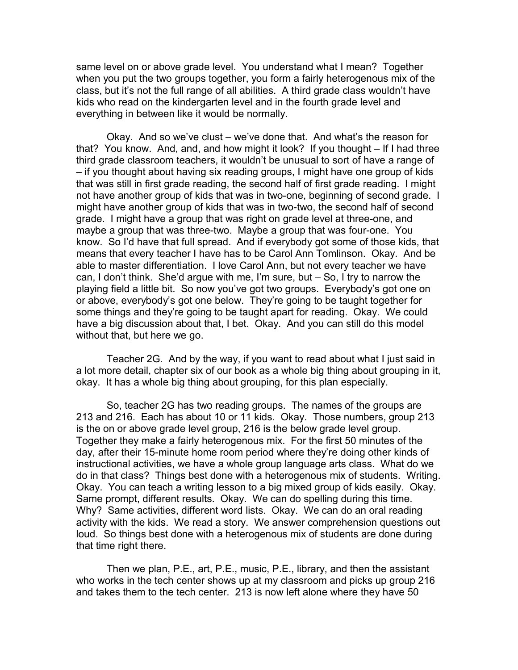same level on or above grade level. You understand what I mean? Together when you put the two groups together, you form a fairly heterogenous mix of the class, but it's not the full range of all abilities. A third grade class wouldn't have kids who read on the kindergarten level and in the fourth grade level and everything in between like it would be normally.

Okay. And so we've clust – we've done that. And what's the reason for that? You know. And, and, and how might it look? If you thought – If I had three third grade classroom teachers, it wouldn't be unusual to sort of have a range of – if you thought about having six reading groups, I might have one group of kids that was still in first grade reading, the second half of first grade reading. I might not have another group of kids that was in two-one, beginning of second grade. I might have another group of kids that was in two-two, the second half of second grade. I might have a group that was right on grade level at three-one, and maybe a group that was three-two. Maybe a group that was four-one. You know. So I'd have that full spread. And if everybody got some of those kids, that means that every teacher I have has to be Carol Ann Tomlinson. Okay. And be able to master differentiation. I love Carol Ann, but not every teacher we have can, I don't think. She'd argue with me, I'm sure, but – So, I try to narrow the playing field a little bit. So now you've got two groups. Everybody's got one on or above, everybody's got one below. They're going to be taught together for some things and they're going to be taught apart for reading. Okay. We could have a big discussion about that, I bet. Okay. And you can still do this model without that, but here we go.

Teacher 2G. And by the way, if you want to read about what I just said in a lot more detail, chapter six of our book as a whole big thing about grouping in it, okay. It has a whole big thing about grouping, for this plan especially.

So, teacher 2G has two reading groups. The names of the groups are 213 and 216. Each has about 10 or 11 kids. Okay. Those numbers, group 213 is the on or above grade level group, 216 is the below grade level group. Together they make a fairly heterogenous mix. For the first 50 minutes of the day, after their 15-minute home room period where they're doing other kinds of instructional activities, we have a whole group language arts class. What do we do in that class? Things best done with a heterogenous mix of students. Writing. Okay. You can teach a writing lesson to a big mixed group of kids easily. Okay. Same prompt, different results. Okay. We can do spelling during this time. Why? Same activities, different word lists. Okay. We can do an oral reading activity with the kids. We read a story. We answer comprehension questions out loud. So things best done with a heterogenous mix of students are done during that time right there.

Then we plan, P.E., art, P.E., music, P.E., library, and then the assistant who works in the tech center shows up at my classroom and picks up group 216 and takes them to the tech center. 213 is now left alone where they have 50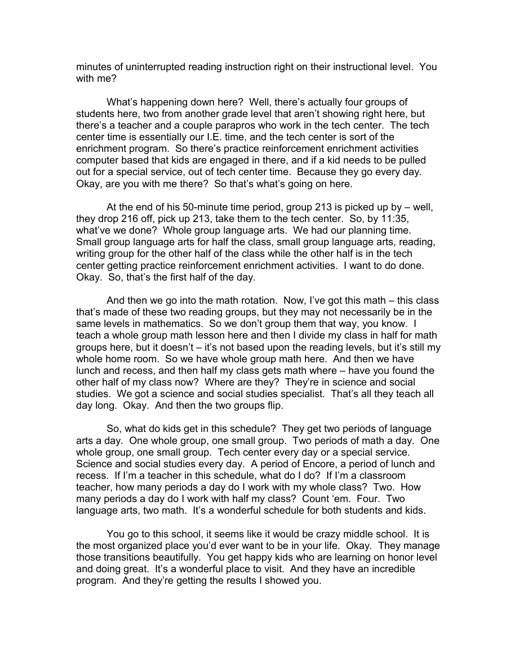minutes of uninterrupted reading instruction right on their instructional level. You with me?

What's happening down here? Well, there's actually four groups of students here, two from another grade level that aren't showing right here, but there's a teacher and a couple parapros who work in the tech center. The tech center time is essentially our I.E. time, and the tech center is sort of the enrichment program. So there's practice reinforcement enrichment activities computer based that kids are engaged in there, and if a kid needs to be pulled out for a special service, out of tech center time. Because they go every day. Okay, are you with me there? So that's what's going on here.

At the end of his 50-minute time period, group 213 is picked up by – well, they drop 216 off, pick up 213, take them to the tech center. So, by 11:35, what've we done? Whole group language arts. We had our planning time. Small group language arts for half the class, small group language arts, reading, writing group for the other half of the class while the other half is in the tech center getting practice reinforcement enrichment activities. I want to do done. Okay. So, that's the first half of the day.

And then we go into the math rotation. Now, I've got this math – this class that's made of these two reading groups, but they may not necessarily be in the same levels in mathematics. So we don't group them that way, you know. I teach a whole group math lesson here and then I divide my class in half for math groups here, but it doesn't – it's not based upon the reading levels, but it's still my whole home room. So we have whole group math here. And then we have lunch and recess, and then half my class gets math where – have you found the other half of my class now? Where are they? They're in science and social studies. We got a science and social studies specialist. That's all they teach all day long. Okay. And then the two groups flip.

So, what do kids get in this schedule? They get two periods of language arts a day. One whole group, one small group. Two periods of math a day. One whole group, one small group. Tech center every day or a special service. Science and social studies every day. A period of Encore, a period of lunch and recess. If I'm a teacher in this schedule, what do I do? If I'm a classroom teacher, how many periods a day do I work with my whole class? Two. How many periods a day do I work with half my class? Count 'em. Four. Two language arts, two math. It's a wonderful schedule for both students and kids.

You go to this school, it seems like it would be crazy middle school. It is the most organized place you'd ever want to be in your life. Okay. They manage those transitions beautifully. You get happy kids who are learning on honor level and doing great. It's a wonderful place to visit. And they have an incredible program. And they're getting the results I showed you.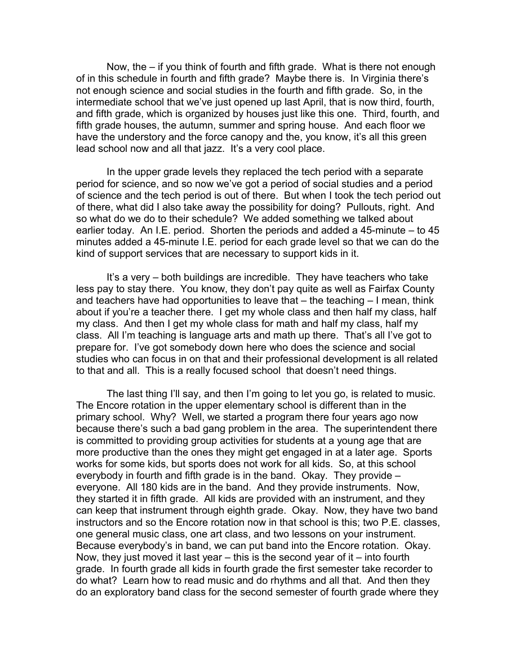Now, the – if you think of fourth and fifth grade. What is there not enough of in this schedule in fourth and fifth grade? Maybe there is. In Virginia there's not enough science and social studies in the fourth and fifth grade. So, in the intermediate school that we've just opened up last April, that is now third, fourth, and fifth grade, which is organized by houses just like this one. Third, fourth, and fifth grade houses, the autumn, summer and spring house. And each floor we have the understory and the force canopy and the, you know, it's all this green lead school now and all that jazz. It's a very cool place.

In the upper grade levels they replaced the tech period with a separate period for science, and so now we've got a period of social studies and a period of science and the tech period is out of there. But when I took the tech period out of there, what did I also take away the possibility for doing? Pullouts, right. And so what do we do to their schedule? We added something we talked about earlier today. An I.E. period. Shorten the periods and added a 45-minute – to 45 minutes added a 45-minute I.E. period for each grade level so that we can do the kind of support services that are necessary to support kids in it.

It's a very – both buildings are incredible. They have teachers who take less pay to stay there. You know, they don't pay quite as well as Fairfax County and teachers have had opportunities to leave that – the teaching – I mean, think about if you're a teacher there. I get my whole class and then half my class, half my class. And then I get my whole class for math and half my class, half my class. All I'm teaching is language arts and math up there. That's all I've got to prepare for. I've got somebody down here who does the science and social studies who can focus in on that and their professional development is all related to that and all. This is a really focused school that doesn't need things.

The last thing I'll say, and then I'm going to let you go, is related to music. The Encore rotation in the upper elementary school is different than in the primary school. Why? Well, we started a program there four years ago now because there's such a bad gang problem in the area. The superintendent there is committed to providing group activities for students at a young age that are more productive than the ones they might get engaged in at a later age. Sports works for some kids, but sports does not work for all kids. So, at this school everybody in fourth and fifth grade is in the band. Okay. They provide – everyone. All 180 kids are in the band. And they provide instruments. Now, they started it in fifth grade. All kids are provided with an instrument, and they can keep that instrument through eighth grade. Okay. Now, they have two band instructors and so the Encore rotation now in that school is this; two P.E. classes, one general music class, one art class, and two lessons on your instrument. Because everybody's in band, we can put band into the Encore rotation. Okay. Now, they just moved it last year – this is the second year of it – into fourth grade. In fourth grade all kids in fourth grade the first semester take recorder to do what? Learn how to read music and do rhythms and all that. And then they do an exploratory band class for the second semester of fourth grade where they